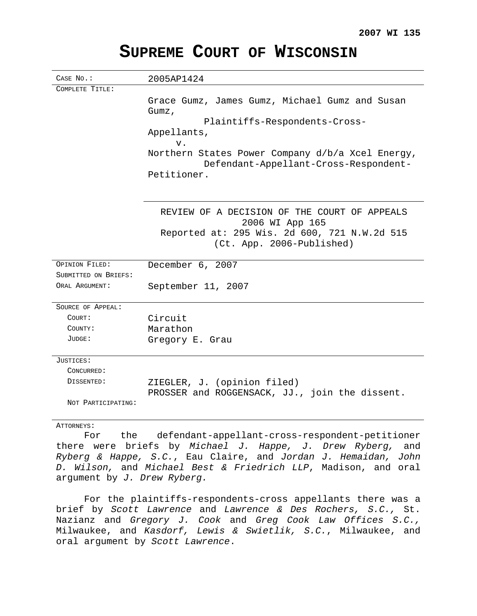| CASE NO.:            | 2005AP1424                                                                                               |
|----------------------|----------------------------------------------------------------------------------------------------------|
| COMPLETE TITLE:      |                                                                                                          |
|                      | Grace Gumz, James Gumz, Michael Gumz and Susan<br>Gumz,                                                  |
|                      | Plaintiffs-Respondents-Cross-                                                                            |
|                      | Appellants,                                                                                              |
|                      | $V$ .                                                                                                    |
|                      | Northern States Power Company d/b/a Xcel Energy,<br>Defendant-Appellant-Cross-Respondent-<br>Petitioner. |
|                      |                                                                                                          |
|                      | REVIEW OF A DECISION OF THE COURT OF APPEALS<br>2006 WI App 165                                          |
|                      | Reported at: 295 Wis. 2d 600, 721 N.W.2d 515                                                             |
|                      | (Ct. App. 2006-Published)                                                                                |
|                      |                                                                                                          |
| OPINION FILED:       | December 6, 2007                                                                                         |
| SUBMITTED ON BRIEFS: |                                                                                                          |
| ORAL ARGUMENT:       | September 11, 2007                                                                                       |
| SOURCE OF APPEAL:    |                                                                                                          |
| COURT:               | Circuit                                                                                                  |
| COUNTY:              | Marathon                                                                                                 |
| JUDGE:               | Gregory E. Grau                                                                                          |
| JUSTICES:            |                                                                                                          |
| CONCURRED:           |                                                                                                          |
| DISSENTED:           | ZIEGLER, J. (opinion filed)                                                                              |
|                      | PROSSER and ROGGENSACK, JJ., join the dissent.                                                           |
| NOT PARTICIPATING:   |                                                                                                          |
| ATTORNEYS:           |                                                                                                          |
| the<br>For           | defendant-appellant-cross-respondent-petitioner                                                          |

# **SUPREME COURT OF WISCONSIN**

For the defendant-appellant-cross-respondent-petitioner there were briefs by Michael J. Happe, J. Drew Ryberg, and Ryberg & Happe, S.C., Eau Claire, and Jordan J. Hemaidan, John D. Wilson, and Michael Best & Friedrich LLP, Madison, and oral argument by J. Drew Ryberg.

For the plaintiffs-respondents-cross appellants there was a brief by Scott Lawrence and Lawrence & Des Rochers, S.C., St. Nazianz and Gregory J. Cook and Greg Cook Law Offices S.C., Milwaukee, and Kasdorf, Lewis & Swietlik, S.C., Milwaukee, and oral argument by Scott Lawrence.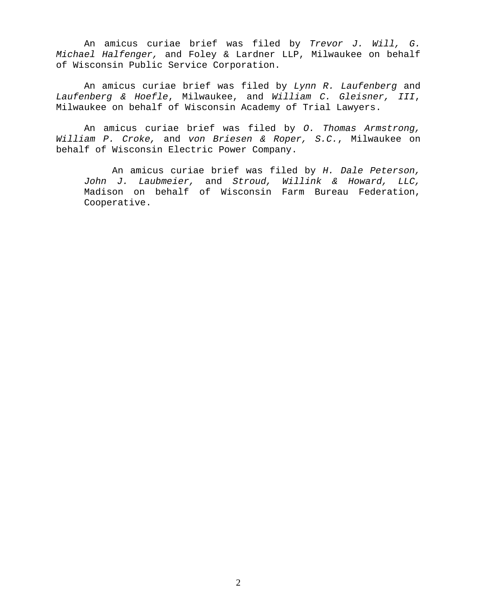An amicus curiae brief was filed by Trevor J. Will, G. Michael Halfenger, and Foley & Lardner LLP, Milwaukee on behalf of Wisconsin Public Service Corporation.

An amicus curiae brief was filed by Lynn R. Laufenberg and Laufenberg & Hoefle, Milwaukee, and William C. Gleisner, III, Milwaukee on behalf of Wisconsin Academy of Trial Lawyers.

An amicus curiae brief was filed by O. Thomas Armstrong, William P. Croke, and von Briesen & Roper, S.C., Milwaukee on behalf of Wisconsin Electric Power Company.

An amicus curiae brief was filed by H. Dale Peterson, John J. Laubmeier, and Stroud, Willink & Howard, LLC, Madison on behalf of Wisconsin Farm Bureau Federation, Cooperative.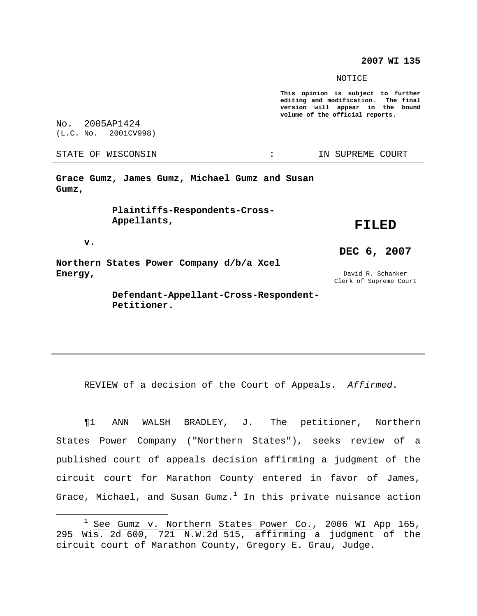#### **2007 WI 135**

NOTICE

**This opinion is subject to further editing and modification. The final version will appear in the bound volume of the official reports.**

No. 2005AP1424 (L.C. No. 2001CV998)

STATE OF WISCONSIN THE RESERVE STATE OF WISCONSIN STATE OF THE SUPREME COURT

**Grace Gumz, James Gumz, Michael Gumz and Susan Gumz,**

> **Plaintiffs-Respondents-Cross-Appellants,**

### **FILED**

**v.**

**Northern States Power Company d/b/a Xcel Energy,**

David R. Schanker Clerk of Supreme Court

**DEC 6, 2007**

**Defendant-Appellant-Cross-Respondent-Petitioner.**

REVIEW of a decision of the Court of Appeals. Affirmed.

¶1 ANN WALSH BRADLEY, J. The petitioner, Northern States Power Company ("Northern States"), seeks review of a published court of appeals decision affirming a judgment of the circuit court for Marathon County entered in favor of James, Grace, Michael, and Susan Gumz. $^{\rm l}$  In this private nuisance action

 $1$  See Gumz v. Northern States Power Co., 2006 WI App 165, 295  $W$ is. 2 $\overline{d}$  600, 721  $\overline{N}$ . W. 2d 515, affirming a judgment of the circuit court of Marathon County, Gregory E. Grau, Judge.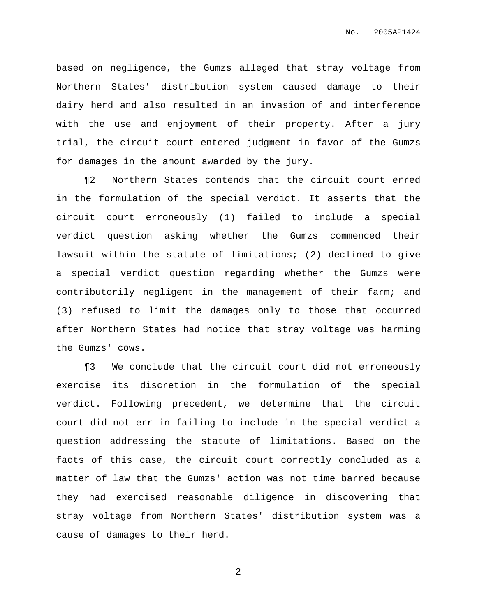based on negligence, the Gumzs alleged that stray voltage from Northern States' distribution system caused damage to their dairy herd and also resulted in an invasion of and interference with the use and enjoyment of their property. After a jury trial, the circuit court entered judgment in favor of the Gumzs for damages in the amount awarded by the jury.

¶2 Northern States contends that the circuit court erred in the formulation of the special verdict. It asserts that the circuit court erroneously (1) failed to include a special verdict question asking whether the Gumzs commenced their lawsuit within the statute of limitations; (2) declined to give a special verdict question regarding whether the Gumzs were contributorily negligent in the management of their farm; and (3) refused to limit the damages only to those that occurred after Northern States had notice that stray voltage was harming the Gumzs' cows.

¶3 We conclude that the circuit court did not erroneously exercise its discretion in the formulation of the special verdict. Following precedent, we determine that the circuit court did not err in failing to include in the special verdict a question addressing the statute of limitations. Based on the facts of this case, the circuit court correctly concluded as a matter of law that the Gumzs' action was not time barred because they had exercised reasonable diligence in discovering that stray voltage from Northern States' distribution system was a cause of damages to their herd.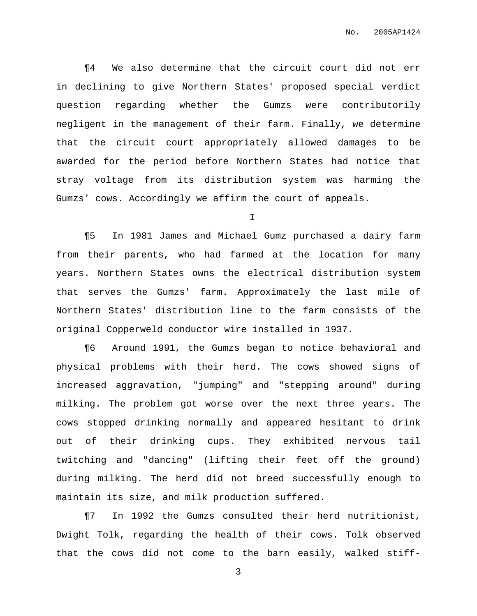¶4 We also determine that the circuit court did not err in declining to give Northern States' proposed special verdict question regarding whether the Gumzs were contributorily negligent in the management of their farm. Finally, we determine that the circuit court appropriately allowed damages to be awarded for the period before Northern States had notice that stray voltage from its distribution system was harming the Gumzs' cows. Accordingly we affirm the court of appeals.

I

¶5 In 1981 James and Michael Gumz purchased a dairy farm from their parents, who had farmed at the location for many years. Northern States owns the electrical distribution system that serves the Gumzs' farm. Approximately the last mile of Northern States' distribution line to the farm consists of the original Copperweld conductor wire installed in 1937.

¶6 Around 1991, the Gumzs began to notice behavioral and physical problems with their herd. The cows showed signs of increased aggravation, "jumping" and "stepping around" during milking. The problem got worse over the next three years. The cows stopped drinking normally and appeared hesitant to drink out of their drinking cups. They exhibited nervous tail twitching and "dancing" (lifting their feet off the ground) during milking. The herd did not breed successfully enough to maintain its size, and milk production suffered.

¶7 In 1992 the Gumzs consulted their herd nutritionist, Dwight Tolk, regarding the health of their cows. Tolk observed that the cows did not come to the barn easily, walked stiff-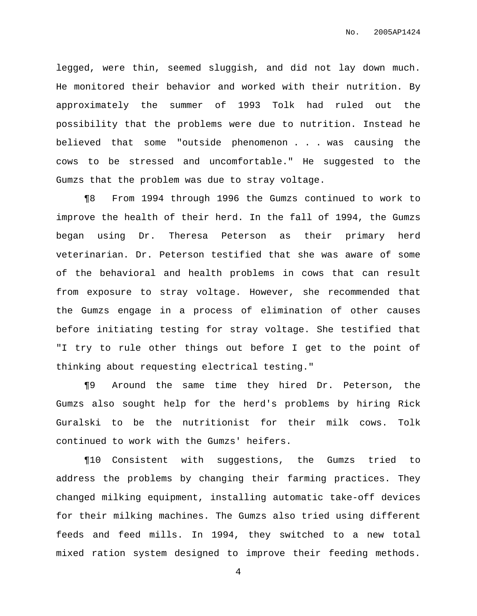legged, were thin, seemed sluggish, and did not lay down much. He monitored their behavior and worked with their nutrition. By approximately the summer of 1993 Tolk had ruled out the possibility that the problems were due to nutrition. Instead he believed that some "outside phenomenon . . . was causing the cows to be stressed and uncomfortable." He suggested to the Gumzs that the problem was due to stray voltage.

¶8 From 1994 through 1996 the Gumzs continued to work to improve the health of their herd. In the fall of 1994, the Gumzs began using Dr. Theresa Peterson as their primary herd veterinarian. Dr. Peterson testified that she was aware of some of the behavioral and health problems in cows that can result from exposure to stray voltage. However, she recommended that the Gumzs engage in a process of elimination of other causes before initiating testing for stray voltage. She testified that "I try to rule other things out before I get to the point of thinking about requesting electrical testing."

¶9 Around the same time they hired Dr. Peterson, the Gumzs also sought help for the herd's problems by hiring Rick Guralski to be the nutritionist for their milk cows. Tolk continued to work with the Gumzs' heifers.

¶10 Consistent with suggestions, the Gumzs tried to address the problems by changing their farming practices. They changed milking equipment, installing automatic take-off devices for their milking machines. The Gumzs also tried using different feeds and feed mills. In 1994, they switched to a new total mixed ration system designed to improve their feeding methods.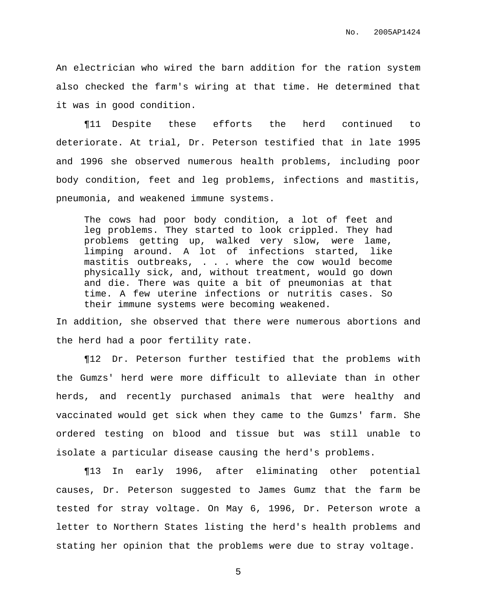An electrician who wired the barn addition for the ration system also checked the farm's wiring at that time. He determined that it was in good condition.

¶11 Despite these efforts the herd continued to deteriorate. At trial, Dr. Peterson testified that in late 1995 and 1996 she observed numerous health problems, including poor body condition, feet and leg problems, infections and mastitis, pneumonia, and weakened immune systems.

The cows had poor body condition, a lot of feet and leg problems. They started to look crippled. They had problems getting up, walked very slow, were lame, limping around. A lot of infections started, like mastitis outbreaks, . . . where the cow would become physically sick, and, without treatment, would go down and die. There was quite a bit of pneumonias at that time. A few uterine infections or nutritis cases. So their immune systems were becoming weakened.

In addition, she observed that there were numerous abortions and the herd had a poor fertility rate.

¶12 Dr. Peterson further testified that the problems with the Gumzs' herd were more difficult to alleviate than in other herds, and recently purchased animals that were healthy and vaccinated would get sick when they came to the Gumzs' farm. She ordered testing on blood and tissue but was still unable to isolate a particular disease causing the herd's problems.

¶13 In early 1996, after eliminating other potential causes, Dr. Peterson suggested to James Gumz that the farm be tested for stray voltage. On May 6, 1996, Dr. Peterson wrote a letter to Northern States listing the herd's health problems and stating her opinion that the problems were due to stray voltage.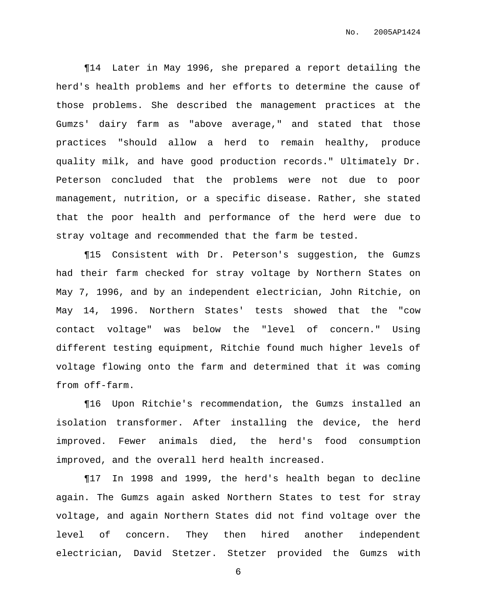¶14 Later in May 1996, she prepared a report detailing the herd's health problems and her efforts to determine the cause of those problems. She described the management practices at the Gumzs' dairy farm as "above average," and stated that those practices "should allow a herd to remain healthy, produce quality milk, and have good production records." Ultimately Dr. Peterson concluded that the problems were not due to poor management, nutrition, or a specific disease. Rather, she stated that the poor health and performance of the herd were due to stray voltage and recommended that the farm be tested.

¶15 Consistent with Dr. Peterson's suggestion, the Gumzs had their farm checked for stray voltage by Northern States on May 7, 1996, and by an independent electrician, John Ritchie, on May 14, 1996. Northern States' tests showed that the "cow contact voltage" was below the "level of concern." Using different testing equipment, Ritchie found much higher levels of voltage flowing onto the farm and determined that it was coming from off-farm.

¶16 Upon Ritchie's recommendation, the Gumzs installed an isolation transformer. After installing the device, the herd improved. Fewer animals died, the herd's food consumption improved, and the overall herd health increased.

¶17 In 1998 and 1999, the herd's health began to decline again. The Gumzs again asked Northern States to test for stray voltage, and again Northern States did not find voltage over the level of concern. They then hired another independent electrician, David Stetzer. Stetzer provided the Gumzs with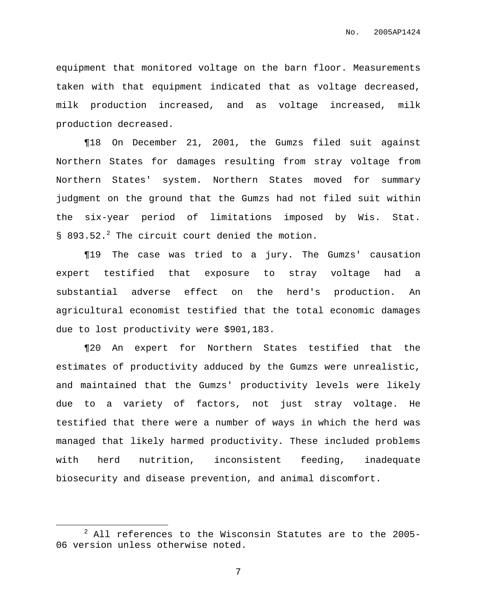equipment that monitored voltage on the barn floor. Measurements taken with that equipment indicated that as voltage decreased, milk production increased, and as voltage increased, milk production decreased.

¶18 On December 21, 2001, the Gumzs filed suit against Northern States for damages resulting from stray voltage from Northern States' system. Northern States moved for summary judgment on the ground that the Gumzs had not filed suit within the six-year period of limitations imposed by Wis. Stat. § 893.52.<sup>2</sup> The circuit court denied the motion.

¶19 The case was tried to a jury. The Gumzs' causation expert testified that exposure to stray voltage had a substantial adverse effect on the herd's production. An agricultural economist testified that the total economic damages due to lost productivity were \$901,183.

¶20 An expert for Northern States testified that the estimates of productivity adduced by the Gumzs were unrealistic, and maintained that the Gumzs' productivity levels were likely due to a variety of factors, not just stray voltage. He testified that there were a number of ways in which the herd was managed that likely harmed productivity. These included problems with herd nutrition, inconsistent feeding, inadequate biosecurity and disease prevention, and animal discomfort.

 $2$  All references to the Wisconsin Statutes are to the 2005-06 version unless otherwise noted.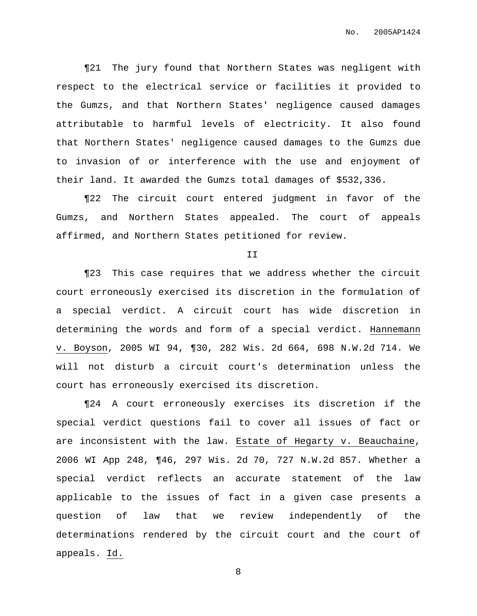¶21 The jury found that Northern States was negligent with respect to the electrical service or facilities it provided to the Gumzs, and that Northern States' negligence caused damages attributable to harmful levels of electricity. It also found that Northern States' negligence caused damages to the Gumzs due to invasion of or interference with the use and enjoyment of their land. It awarded the Gumzs total damages of \$532,336.

¶22 The circuit court entered judgment in favor of the Gumzs, and Northern States appealed. The court of appeals affirmed, and Northern States petitioned for review.

II

¶23 This case requires that we address whether the circuit court erroneously exercised its discretion in the formulation of a special verdict. A circuit court has wide discretion in determining the words and form of a special verdict. Hannemann v. Boyson, 2005 WI 94, ¶30, 282 Wis. 2d 664, 698 N.W.2d 714. We will not disturb a circuit court's determination unless the court has erroneously exercised its discretion.

¶24 A court erroneously exercises its discretion if the special verdict questions fail to cover all issues of fact or are inconsistent with the law. Estate of Hegarty v. Beauchaine, 2006 WI App 248, ¶46, 297 Wis. 2d 70, 727 N.W.2d 857. Whether a special verdict reflects an accurate statement of the law applicable to the issues of fact in a given case presents a question of law that we review independently of the determinations rendered by the circuit court and the court of appeals. Id.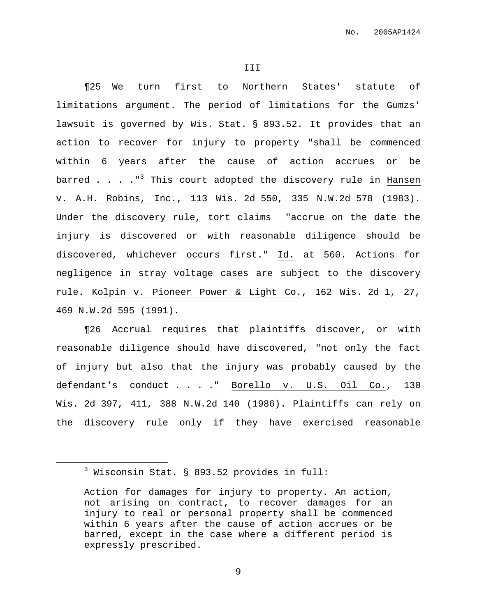¶25 We turn first to Northern States' statute of limitations argument. The period of limitations for the Gumzs' lawsuit is governed by Wis. Stat. § 893.52. It provides that an action to recover for injury to property "shall be commenced within 6 years after the cause of action accrues or be barred . . . ."<sup>3</sup> This court adopted the discovery rule in Hansen v. A.H. Robins, Inc., 113 Wis. 2d 550, 335 N.W.2d 578 (1983). Under the discovery rule, tort claims "accrue on the date the injury is discovered or with reasonable diligence should be discovered, whichever occurs first." Id. at 560. Actions for negligence in stray voltage cases are subject to the discovery rule. Kolpin v. Pioneer Power & Light Co., 162 Wis. 2d 1, 27, 469 N.W.2d 595 (1991).

¶26 Accrual requires that plaintiffs discover, or with reasonable diligence should have discovered, "not only the fact of injury but also that the injury was probably caused by the defendant's conduct . . . . Borello v. U.S. Oil Co., 130 Wis. 2d 397, 411, 388 N.W.2d 140 (1986). Plaintiffs can rely on the discovery rule only if they have exercised reasonable

<sup>3</sup> Wisconsin Stat. § 893.52 provides in full:

Action for damages for injury to property. An action, not arising on contract, to recover damages for an injury to real or personal property shall be commenced within 6 years after the cause of action accrues or be barred, except in the case where a different period is expressly prescribed.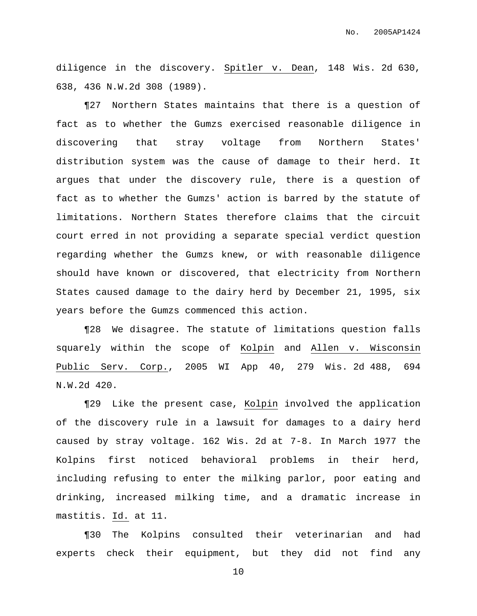diligence in the discovery. Spitler v. Dean, 148 Wis. 2d 630, 638, 436 N.W.2d 308 (1989).

¶27 Northern States maintains that there is a question of fact as to whether the Gumzs exercised reasonable diligence in discovering that stray voltage from Northern States' distribution system was the cause of damage to their herd. It argues that under the discovery rule, there is a question of fact as to whether the Gumzs' action is barred by the statute of limitations. Northern States therefore claims that the circuit court erred in not providing a separate special verdict question regarding whether the Gumzs knew, or with reasonable diligence should have known or discovered, that electricity from Northern States caused damage to the dairy herd by December 21, 1995, six years before the Gumzs commenced this action.

¶28 We disagree. The statute of limitations question falls squarely within the scope of Kolpin and Allen v. Wisconsin Public Serv. Corp., 2005 WI App 40, 279 Wis. 2d 488, 694 N.W.2d 420.

¶29 Like the present case, Kolpin involved the application of the discovery rule in a lawsuit for damages to a dairy herd caused by stray voltage. 162 Wis. 2d at 7-8. In March 1977 the Kolpins first noticed behavioral problems in their herd, including refusing to enter the milking parlor, poor eating and drinking, increased milking time, and a dramatic increase in mastitis. Id. at 11.

¶30 The Kolpins consulted their veterinarian and had experts check their equipment, but they did not find any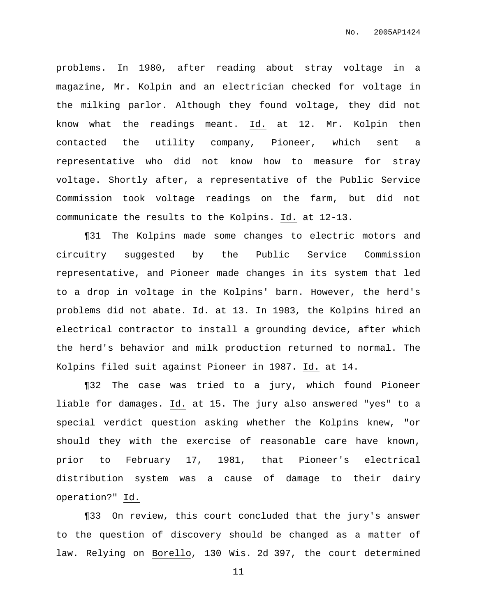problems. In 1980, after reading about stray voltage in a magazine, Mr. Kolpin and an electrician checked for voltage in the milking parlor. Although they found voltage, they did not know what the readings meant. Id. at 12. Mr. Kolpin then contacted the utility company, Pioneer, which sent a representative who did not know how to measure for stray voltage. Shortly after, a representative of the Public Service Commission took voltage readings on the farm, but did not communicate the results to the Kolpins. Id. at 12-13.

¶31 The Kolpins made some changes to electric motors and circuitry suggested by the Public Service Commission representative, and Pioneer made changes in its system that led to a drop in voltage in the Kolpins' barn. However, the herd's problems did not abate. Id. at 13. In 1983, the Kolpins hired an electrical contractor to install a grounding device, after which the herd's behavior and milk production returned to normal. The Kolpins filed suit against Pioneer in 1987. Id. at 14.

¶32 The case was tried to a jury, which found Pioneer liable for damages. Id. at 15. The jury also answered "yes" to a special verdict question asking whether the Kolpins knew, "or should they with the exercise of reasonable care have known, prior to February 17, 1981, that Pioneer's electrical distribution system was a cause of damage to their dairy operation?" Id.

¶33 On review, this court concluded that the jury's answer to the question of discovery should be changed as a matter of law. Relying on Borello, 130 Wis. 2d 397, the court determined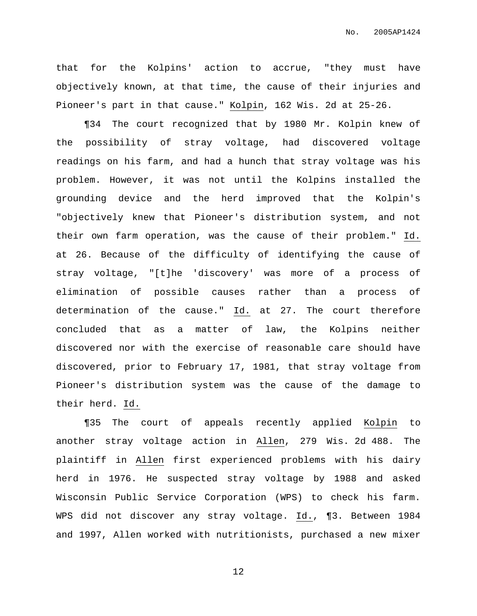that for the Kolpins' action to accrue, "they must have objectively known, at that time, the cause of their injuries and Pioneer's part in that cause." Kolpin, 162 Wis. 2d at 25-26.

¶34 The court recognized that by 1980 Mr. Kolpin knew of the possibility of stray voltage, had discovered voltage readings on his farm, and had a hunch that stray voltage was his problem. However, it was not until the Kolpins installed the grounding device and the herd improved that the Kolpin's "objectively knew that Pioneer's distribution system, and not their own farm operation, was the cause of their problem." Id. at 26. Because of the difficulty of identifying the cause of stray voltage, "[t]he 'discovery' was more of a process of elimination of possible causes rather than a process of determination of the cause." Id. at 27. The court therefore concluded that as a matter of law, the Kolpins neither discovered nor with the exercise of reasonable care should have discovered, prior to February 17, 1981, that stray voltage from Pioneer's distribution system was the cause of the damage to their herd. Id.

¶35 The court of appeals recently applied Kolpin to another stray voltage action in Allen, 279 Wis. 2d 488. The plaintiff in Allen first experienced problems with his dairy herd in 1976. He suspected stray voltage by 1988 and asked Wisconsin Public Service Corporation (WPS) to check his farm. WPS did not discover any stray voltage. Id., ¶3. Between 1984 and 1997, Allen worked with nutritionists, purchased a new mixer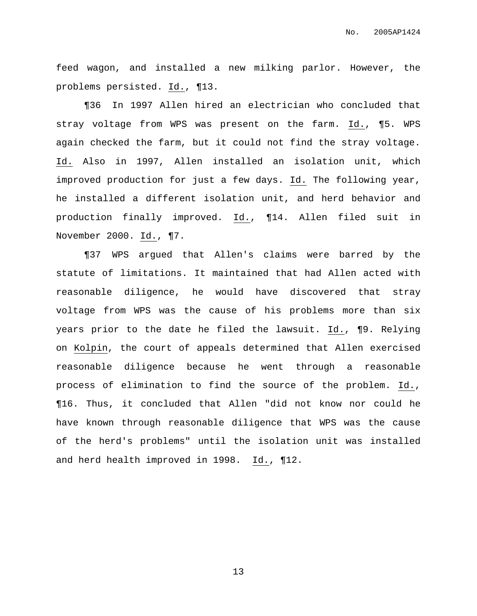feed wagon, and installed a new milking parlor. However, the problems persisted. Id., ¶13.

¶36 In 1997 Allen hired an electrician who concluded that stray voltage from WPS was present on the farm. Id., ¶5. WPS again checked the farm, but it could not find the stray voltage. Id. Also in 1997, Allen installed an isolation unit, which improved production for just a few days. Id. The following year, he installed a different isolation unit, and herd behavior and production finally improved. Id., ¶14. Allen filed suit in November 2000. Id., ¶7.

¶37 WPS argued that Allen's claims were barred by the statute of limitations. It maintained that had Allen acted with reasonable diligence, he would have discovered that stray voltage from WPS was the cause of his problems more than six years prior to the date he filed the lawsuit. Id., ¶9. Relying on Kolpin, the court of appeals determined that Allen exercised reasonable diligence because he went through a reasonable process of elimination to find the source of the problem. Id., ¶16. Thus, it concluded that Allen "did not know nor could he have known through reasonable diligence that WPS was the cause of the herd's problems" until the isolation unit was installed and herd health improved in 1998.  $Id.$ ,  $\P12.$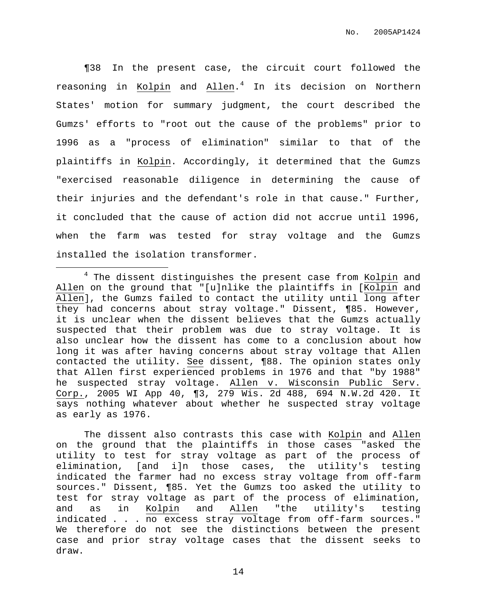¶38 In the present case, the circuit court followed the reasoning in Kolpin and Allen. <sup>4</sup> In its decision on Northern States' motion for summary judgment, the court described the Gumzs' efforts to "root out the cause of the problems" prior to 1996 as a "process of elimination" similar to that of the plaintiffs in Kolpin. Accordingly, it determined that the Gumzs "exercised reasonable diligence in determining the cause of their injuries and the defendant's role in that cause." Further, it concluded that the cause of action did not accrue until 1996, when the farm was tested for stray voltage and the Gumzs installed the isolation transformer.

The dissent also contrasts this case with Kolpin and Allen on the ground that the plaintiffs in those cases "asked the utility to test for stray voltage as part of the process of elimination, [and i]n those cases, the utility's testing indicated the farmer had no excess stray voltage from off-farm sources." Dissent, ¶85. Yet the Gumzs too asked the utility to test for stray voltage as part of the process of elimination, and as in Kolpin and Allen "the utility's testing indicated . . . no excess stray voltage from off-farm sources." We therefore do not see the distinctions between the present case and prior stray voltage cases that the dissent seeks to draw.

<sup>&</sup>lt;sup>4</sup> The dissent distinguishes the present case from Kolpin and Allen on the ground that "[u]nlike the plaintiffs in [Kolpin and Allen], the Gumzs failed to contact the utility until long after they had concerns about stray voltage." Dissent, ¶85. However, it is unclear when the dissent believes that the Gumzs actually suspected that their problem was due to stray voltage. It is also unclear how the dissent has come to a conclusion about how long it was after having concerns about stray voltage that Allen contacted the utility. See dissent, ¶88. The opinion states only that Allen first experienced problems in 1976 and that "by 1988" he suspected stray voltage. Allen v. Wisconsin Public Serv. Corp., 2005 WI App 40, ¶3, 279 Wis. 2d 488, 694 N.W.2d 420. It says nothing whatever about whether he suspected stray voltage as early as 1976.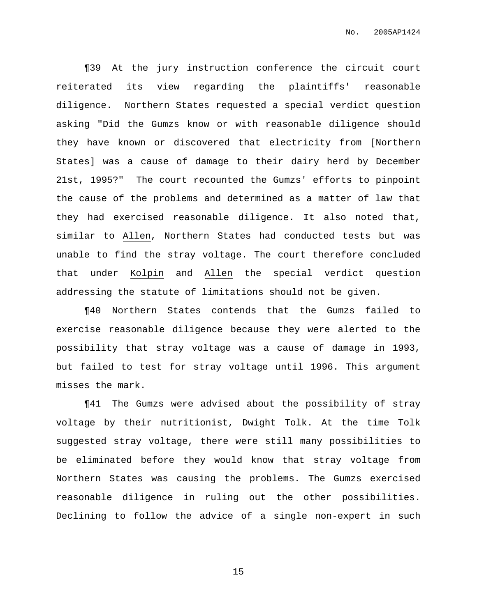¶39 At the jury instruction conference the circuit court reiterated its view regarding the plaintiffs' reasonable diligence. Northern States requested a special verdict question asking "Did the Gumzs know or with reasonable diligence should they have known or discovered that electricity from [Northern States] was a cause of damage to their dairy herd by December 21st, 1995?" The court recounted the Gumzs' efforts to pinpoint the cause of the problems and determined as a matter of law that they had exercised reasonable diligence. It also noted that, similar to Allen, Northern States had conducted tests but was unable to find the stray voltage. The court therefore concluded that under Kolpin and Allen the special verdict question addressing the statute of limitations should not be given.

¶40 Northern States contends that the Gumzs failed to exercise reasonable diligence because they were alerted to the possibility that stray voltage was a cause of damage in 1993, but failed to test for stray voltage until 1996. This argument misses the mark.

¶41 The Gumzs were advised about the possibility of stray voltage by their nutritionist, Dwight Tolk. At the time Tolk suggested stray voltage, there were still many possibilities to be eliminated before they would know that stray voltage from Northern States was causing the problems. The Gumzs exercised reasonable diligence in ruling out the other possibilities. Declining to follow the advice of a single non-expert in such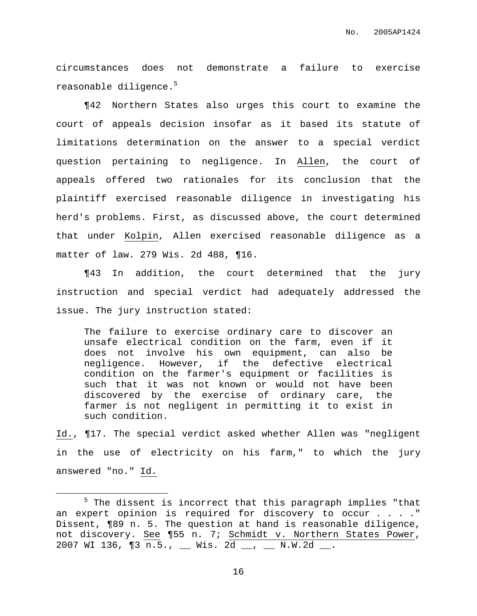circumstances does not demonstrate a failure to exercise reasonable diligence. 5

¶42 Northern States also urges this court to examine the court of appeals decision insofar as it based its statute of limitations determination on the answer to a special verdict question pertaining to negligence. In Allen, the court of appeals offered two rationales for its conclusion that the plaintiff exercised reasonable diligence in investigating his herd's problems. First, as discussed above, the court determined that under Kolpin, Allen exercised reasonable diligence as a matter of law. 279 Wis. 2d 488, ¶16.

¶43 In addition, the court determined that the jury instruction and special verdict had adequately addressed the issue. The jury instruction stated:

The failure to exercise ordinary care to discover an unsafe electrical condition on the farm, even if it does not involve his own equipment, can also be negligence. However, if the defective electrical condition on the farmer's equipment or facilities is such that it was not known or would not have been discovered by the exercise of ordinary care, the farmer is not negligent in permitting it to exist in such condition.

Id., ¶17. The special verdict asked whether Allen was "negligent in the use of electricity on his farm," to which the jury answered "no." Id.

<sup>&</sup>lt;sup>5</sup> The dissent is incorrect that this paragraph implies "that an expert opinion is required for discovery to occur . . . . " Dissent, ¶89 n. 5. The question at hand is reasonable diligence, not discovery. See ¶55 n. 7; Schmidt v. Northern States Power, 2007 WI 136, ¶3 n.5., \_\_ Wis. 2d \_\_, \_\_ N.W.2d \_\_.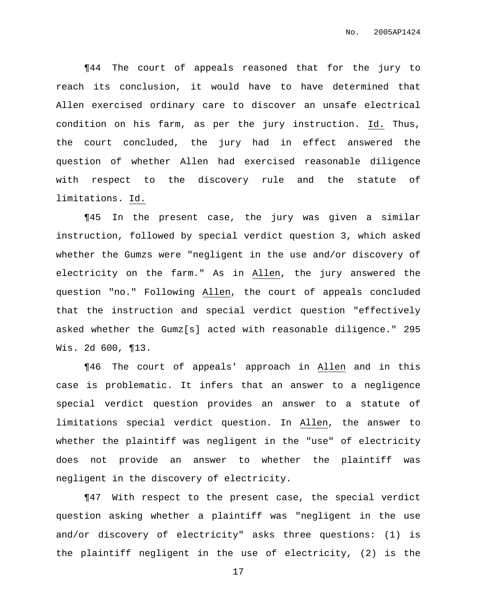¶44 The court of appeals reasoned that for the jury to reach its conclusion, it would have to have determined that Allen exercised ordinary care to discover an unsafe electrical condition on his farm, as per the jury instruction. Id. Thus, the court concluded, the jury had in effect answered the question of whether Allen had exercised reasonable diligence with respect to the discovery rule and the statute of limitations. Id.

¶45 In the present case, the jury was given a similar instruction, followed by special verdict question 3, which asked whether the Gumzs were "negligent in the use and/or discovery of electricity on the farm." As in Allen, the jury answered the question "no." Following Allen, the court of appeals concluded that the instruction and special verdict question "effectively asked whether the Gumz[s] acted with reasonable diligence." 295 Wis. 2d 600, ¶13.

¶46 The court of appeals' approach in Allen and in this case is problematic. It infers that an answer to a negligence special verdict question provides an answer to a statute of limitations special verdict question. In Allen, the answer to whether the plaintiff was negligent in the "use" of electricity does not provide an answer to whether the plaintiff was negligent in the discovery of electricity.

¶47 With respect to the present case, the special verdict question asking whether a plaintiff was "negligent in the use and/or discovery of electricity" asks three questions: (1) is the plaintiff negligent in the use of electricity, (2) is the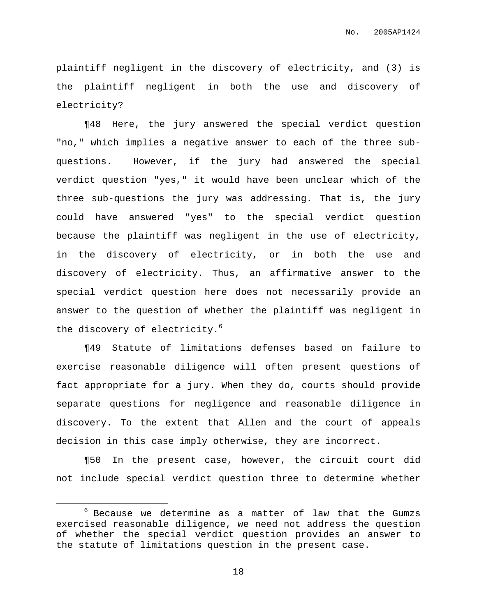plaintiff negligent in the discovery of electricity, and (3) is the plaintiff negligent in both the use and discovery of electricity?

¶48 Here, the jury answered the special verdict question "no," which implies a negative answer to each of the three subquestions. However, if the jury had answered the special verdict question "yes," it would have been unclear which of the three sub-questions the jury was addressing. That is, the jury could have answered "yes" to the special verdict question because the plaintiff was negligent in the use of electricity, in the discovery of electricity, or in both the use and discovery of electricity. Thus, an affirmative answer to the special verdict question here does not necessarily provide an answer to the question of whether the plaintiff was negligent in the discovery of electricity.<sup>6</sup>

¶49 Statute of limitations defenses based on failure to exercise reasonable diligence will often present questions of fact appropriate for a jury. When they do, courts should provide separate questions for negligence and reasonable diligence in discovery. To the extent that Allen and the court of appeals decision in this case imply otherwise, they are incorrect.

¶50 In the present case, however, the circuit court did not include special verdict question three to determine whether

 $6$  Because we determine as a matter of law that the Gumzs exercised reasonable diligence, we need not address the question of whether the special verdict question provides an answer to the statute of limitations question in the present case.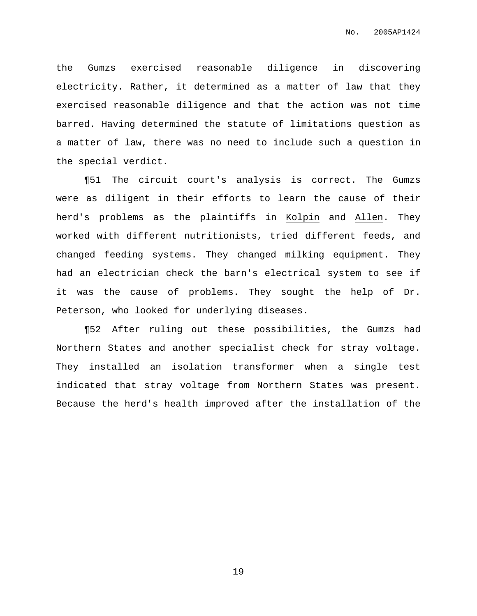the Gumzs exercised reasonable diligence in discovering electricity. Rather, it determined as a matter of law that they exercised reasonable diligence and that the action was not time barred. Having determined the statute of limitations question as a matter of law, there was no need to include such a question in the special verdict.

¶51 The circuit court's analysis is correct. The Gumzs were as diligent in their efforts to learn the cause of their herd's problems as the plaintiffs in Kolpin and Allen. They worked with different nutritionists, tried different feeds, and changed feeding systems. They changed milking equipment. They had an electrician check the barn's electrical system to see if it was the cause of problems. They sought the help of Dr. Peterson, who looked for underlying diseases.

¶52 After ruling out these possibilities, the Gumzs had Northern States and another specialist check for stray voltage. They installed an isolation transformer when a single test indicated that stray voltage from Northern States was present. Because the herd's health improved after the installation of the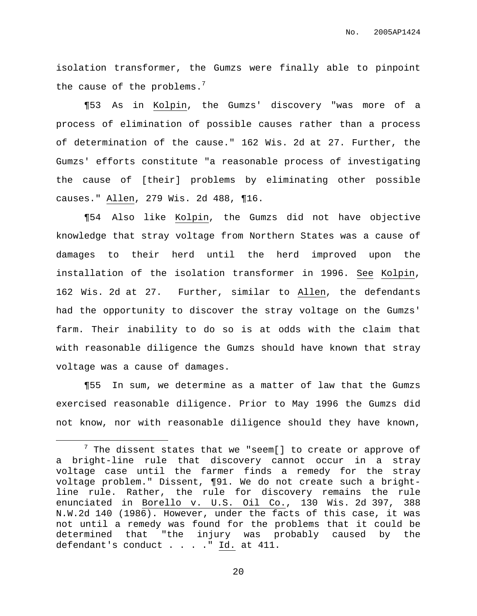isolation transformer, the Gumzs were finally able to pinpoint the cause of the problems.<sup>7</sup>

¶53 As in Kolpin, the Gumzs' discovery "was more of a process of elimination of possible causes rather than a process of determination of the cause." 162 Wis. 2d at 27. Further, the Gumzs' efforts constitute "a reasonable process of investigating the cause of [their] problems by eliminating other possible causes." Allen, 279 Wis. 2d 488, ¶16.

¶54 Also like Kolpin, the Gumzs did not have objective knowledge that stray voltage from Northern States was a cause of damages to their herd until the herd improved upon the installation of the isolation transformer in 1996. See Kolpin, 162 Wis. 2d at 27. Further, similar to Allen, the defendants had the opportunity to discover the stray voltage on the Gumzs' farm. Their inability to do so is at odds with the claim that with reasonable diligence the Gumzs should have known that stray voltage was a cause of damages.

¶55 In sum, we determine as a matter of law that the Gumzs exercised reasonable diligence. Prior to May 1996 the Gumzs did not know, nor with reasonable diligence should they have known,

 $7$  The dissent states that we "seem[] to create or approve of a bright-line rule that discovery cannot occur in a stray voltage case until the farmer finds a remedy for the stray voltage problem." Dissent, ¶91. We do not create such a brightline rule. Rather, the rule for discovery remains the rule enunciated in Borello v. U.S. Oil Co., 130 Wis. 2d 397, 388 N.W.2d 140 (1986). However, under the facts of this case, it was not until a remedy was found for the problems that it could be determined that "the injury was probably caused by the defendant's conduct . . . . " Id. at 411.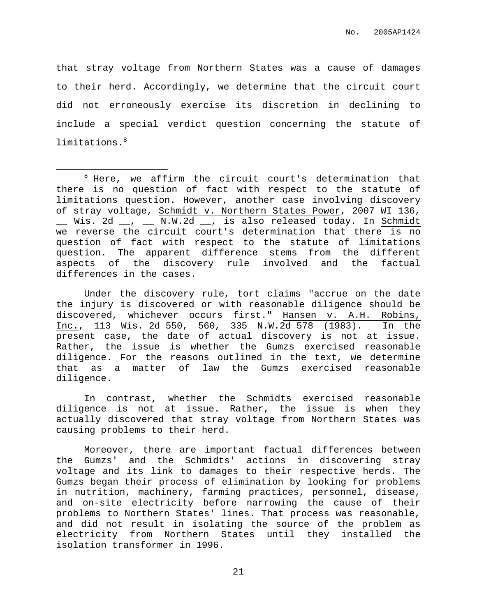that stray voltage from Northern States was a cause of damages to their herd. Accordingly, we determine that the circuit court did not erroneously exercise its discretion in declining to include a special verdict question concerning the statute of limitations. 8

Under the discovery rule, tort claims "accrue on the date the injury is discovered or with reasonable diligence should be discovered, whichever occurs first." Hansen v. A.H. Robins, Inc., 113 Wis. 2d 550, 560, 335 N.W.2d 578 (1983). In the present case, the date of actual discovery is not at issue. Rather, the issue is whether the Gumzs exercised reasonable diligence. For the reasons outlined in the text, we determine that as a matter of law the Gumzs exercised reasonable diligence.

In contrast, whether the Schmidts exercised reasonable diligence is not at issue. Rather, the issue is when they actually discovered that stray voltage from Northern States was causing problems to their herd.

Moreover, there are important factual differences between the Gumzs' and the Schmidts' actions in discovering stray voltage and its link to damages to their respective herds. The Gumzs began their process of elimination by looking for problems in nutrition, machinery, farming practices, personnel, disease, and on-site electricity before narrowing the cause of their problems to Northern States' lines. That process was reasonable, and did not result in isolating the source of the problem as electricity from Northern States until they installed the isolation transformer in 1996.

 $8$  Here, we affirm the circuit court's determination that there is no question of fact with respect to the statute of limitations question. However, another case involving discovery of stray voltage, Schmidt v. Northern States Power, 2007 WI 136, \_\_ Wis. 2d \_\_, \_\_ N.W.2d \_\_, is also released today. In Schmidt we reverse the circuit court's determination that there is no question of fact with respect to the statute of limitations question. The apparent difference stems from the different aspects of the discovery rule involved and the factual differences in the cases.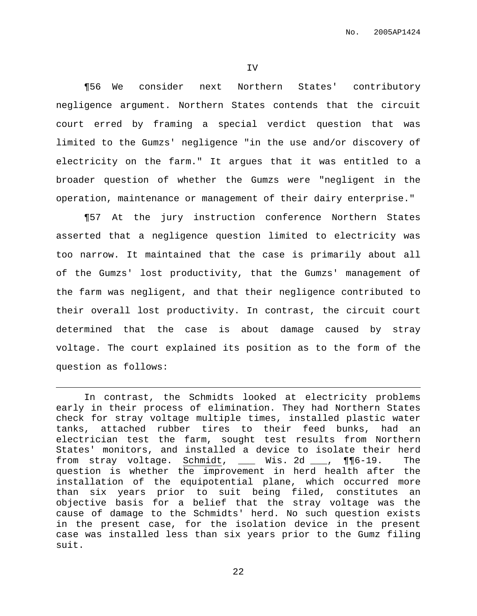¶56 We consider next Northern States' contributory negligence argument. Northern States contends that the circuit court erred by framing a special verdict question that was limited to the Gumzs' negligence "in the use and/or discovery of electricity on the farm." It argues that it was entitled to a broader question of whether the Gumzs were "negligent in the operation, maintenance or management of their dairy enterprise."

¶57 At the jury instruction conference Northern States asserted that a negligence question limited to electricity was too narrow. It maintained that the case is primarily about all of the Gumzs' lost productivity, that the Gumzs' management of the farm was negligent, and that their negligence contributed to their overall lost productivity. In contrast, the circuit court determined that the case is about damage caused by stray voltage. The court explained its position as to the form of the question as follows:

In contrast, the Schmidts looked at electricity problems early in their process of elimination. They had Northern States check for stray voltage multiple times, installed plastic water tanks, attached rubber tires to their feed bunks, had an electrician test the farm, sought test results from Northern States' monitors, and installed a device to isolate their herd from stray voltage. Schmidt, \_\_\_ Wis. 2d \_\_\_, ¶¶6-19. The question is whether the improvement in herd health after the installation of the equipotential plane, which occurred more than six years prior to suit being filed, constitutes an objective basis for a belief that the stray voltage was the cause of damage to the Schmidts' herd. No such question exists in the present case, for the isolation device in the present case was installed less than six years prior to the Gumz filing suit.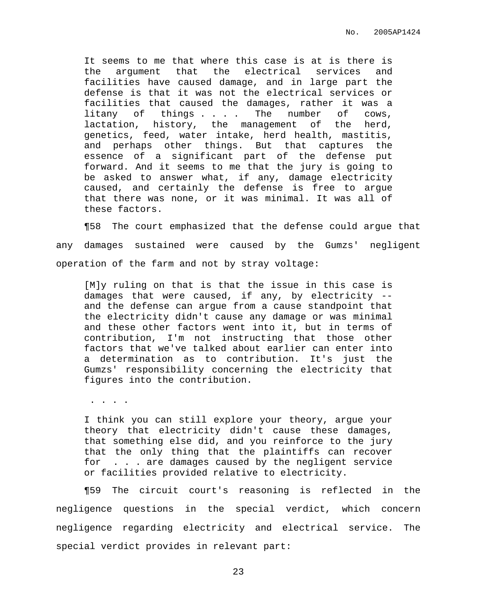It seems to me that where this case is at is there is the argument that the electrical services and facilities have caused damage, and in large part the defense is that it was not the electrical services or facilities that caused the damages, rather it was a litany of things . . . The number of cows, lactation, history, the management of the herd, genetics, feed, water intake, herd health, mastitis, and perhaps other things. But that captures the essence of a significant part of the defense put forward. And it seems to me that the jury is going to be asked to answer what, if any, damage electricity caused, and certainly the defense is free to argue that there was none, or it was minimal. It was all of these factors.

¶58 The court emphasized that the defense could argue that any damages sustained were caused by the Gumzs' negligent operation of the farm and not by stray voltage:

[M]y ruling on that is that the issue in this case is damages that were caused, if any, by electricity - and the defense can argue from a cause standpoint that the electricity didn't cause any damage or was minimal and these other factors went into it, but in terms of contribution, I'm not instructing that those other factors that we've talked about earlier can enter into a determination as to contribution. It's just the Gumzs' responsibility concerning the electricity that figures into the contribution.

. . . .

I think you can still explore your theory, argue your theory that electricity didn't cause these damages, that something else did, and you reinforce to the jury that the only thing that the plaintiffs can recover for . . . are damages caused by the negligent service or facilities provided relative to electricity.

¶59 The circuit court's reasoning is reflected in the negligence questions in the special verdict, which concern negligence regarding electricity and electrical service. The special verdict provides in relevant part: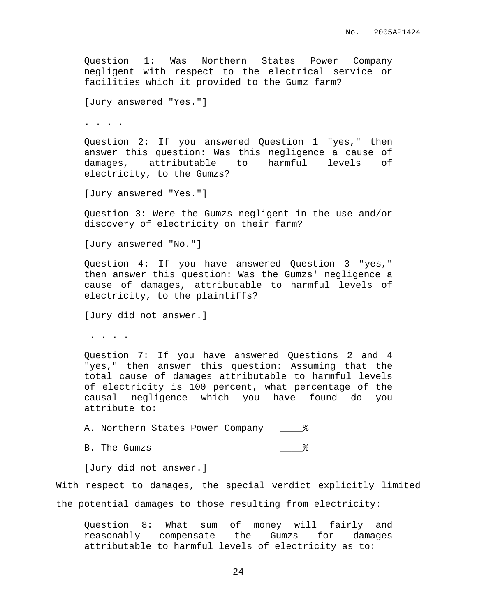Question 1: Was Northern States Power Company negligent with respect to the electrical service or facilities which it provided to the Gumz farm? [Jury answered "Yes."] . . . . Question 2: If you answered Question 1 "yes," then answer this question: Was this negligence a cause of damages, attributable to harmful levels of electricity, to the Gumzs? [Jury answered "Yes."] Question 3: Were the Gumzs negligent in the use and/or discovery of electricity on their farm? [Jury answered "No."] Question 4: If you have answered Question 3 "yes," then answer this question: Was the Gumzs' negligence a cause of damages, attributable to harmful levels of electricity, to the plaintiffs? [Jury did not answer.] . . . . Question 7: If you have answered Questions 2 and 4 "yes," then answer this question: Assuming that the total cause of damages attributable to harmful levels of electricity is 100 percent, what percentage of the causal negligence which you have found do you attribute to: A. Northern States Power Company  $\frac{1}{8}$ B. The Gumzs  $\frac{1}{8}$ [Jury did not answer.] With respect to damages, the special verdict explicitly limited

the potential damages to those resulting from electricity:

Question 8: What sum of money will fairly and reasonably compensate the Gumzs for damages attributable to harmful levels of electricity as to: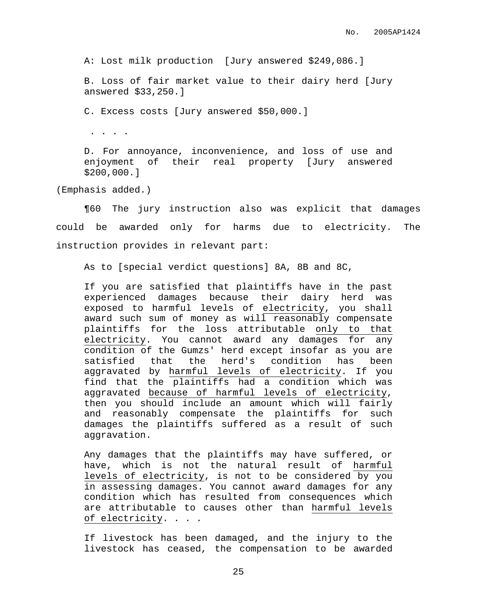A: Lost milk production [Jury answered \$249,086.]

B. Loss of fair market value to their dairy herd [Jury answered \$33,250.]

C. Excess costs [Jury answered \$50,000.]

. . . .

D. For annoyance, inconvenience, and loss of use and enjoyment of their real property [Jury answered \$200,000.]

(Emphasis added.)

¶60 The jury instruction also was explicit that damages could be awarded only for harms due to electricity. The instruction provides in relevant part:

As to [special verdict questions] 8A, 8B and 8C,

If you are satisfied that plaintiffs have in the past experienced damages because their dairy herd was exposed to harmful levels of electricity, you shall award such sum of money as will reasonably compensate plaintiffs for the loss attributable only to that electricity. You cannot award any damages for any condition of the Gumzs' herd except insofar as you are satisfied that the herd's condition has been aggravated by harmful levels of electricity. If you find that the plaintiffs had a condition which was aggravated because of harmful levels of electricity, then you should include an amount which will fairly and reasonably compensate the plaintiffs for such damages the plaintiffs suffered as a result of such aggravation.

Any damages that the plaintiffs may have suffered, or have, which is not the natural result of harmful levels of electricity, is not to be considered by you in assessing damages. You cannot award damages for any condition which has resulted from consequences which are attributable to causes other than harmful levels of electricity. . . .

If livestock has been damaged, and the injury to the livestock has ceased, the compensation to be awarded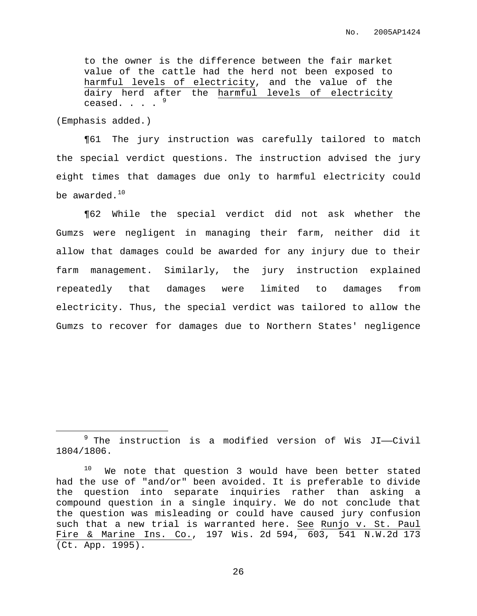to the owner is the difference between the fair market value of the cattle had the herd not been exposed to harmful levels of electricity, and the value of the dairy herd after the harmful levels of electricity ceased.  $\cdot \cdot \cdot$   $\cdot$   $\cdot$ 

(Emphasis added.)

¶61 The jury instruction was carefully tailored to match the special verdict questions. The instruction advised the jury eight times that damages due only to harmful electricity could be awarded. $^{\rm 10}$ 

¶62 While the special verdict did not ask whether the Gumzs were negligent in managing their farm, neither did it allow that damages could be awarded for any injury due to their farm management. Similarly, the jury instruction explained repeatedly that damages were limited to damages from electricity. Thus, the special verdict was tailored to allow the Gumzs to recover for damages due to Northern States' negligence

 $9$  The instruction is a modified version of Wis JI--Civil 1804/1806.

 $10$  We note that question 3 would have been better stated had the use of "and/or" been avoided. It is preferable to divide the question into separate inquiries rather than asking a compound question in a single inquiry. We do not conclude that the question was misleading or could have caused jury confusion such that a new trial is warranted here. See Runjo v. St. Paul Fire & Marine Ins. Co., 197 Wis. 2d 594, 603, 541 N.W.2d 173 (Ct. App. 1995).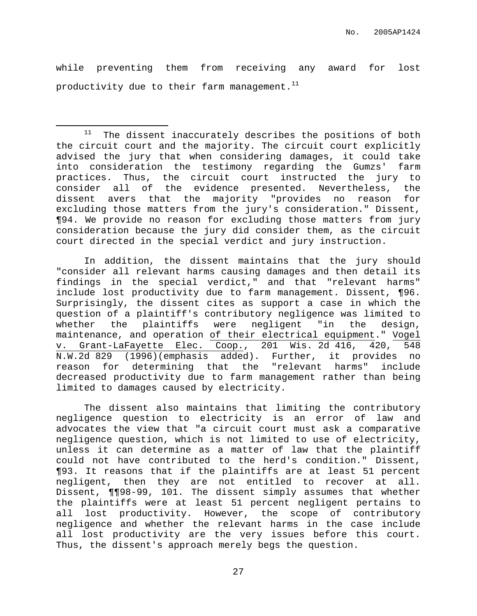while preventing them from receiving any award for lost productivity due to their farm management. $^{\rm 11}$ 

 $11$  The dissent inaccurately describes the positions of both the circuit court and the majority. The circuit court explicitly advised the jury that when considering damages, it could take into consideration the testimony regarding the Gumzs' farm practices. Thus, the circuit court instructed the jury to consider all of the evidence presented. Nevertheless, the dissent avers that the majority "provides no reason for excluding those matters from the jury's consideration." Dissent, ¶94. We provide no reason for excluding those matters from jury consideration because the jury did consider them, as the circuit court directed in the special verdict and jury instruction.

In addition, the dissent maintains that the jury should "consider all relevant harms causing damages and then detail its findings in the special verdict," and that "relevant harms" include lost productivity due to farm management. Dissent, ¶96. Surprisingly, the dissent cites as support a case in which the question of a plaintiff's contributory negligence was limited to whether the plaintiffs were negligent "in the design, maintenance, and operation of their electrical equipment." Vogel v. Grant-LaFayette Elec. Coop., 201 Wis. 2d 416, 420, 548 N.W.2d 829 (1996)(emphasis added). Further, it provides no reason for determining that the "relevant harms" include decreased productivity due to farm management rather than being limited to damages caused by electricity.

The dissent also maintains that limiting the contributory negligence question to electricity is an error of law and advocates the view that "a circuit court must ask a comparative negligence question, which is not limited to use of electricity, unless it can determine as a matter of law that the plaintiff could not have contributed to the herd's condition." Dissent, ¶93. It reasons that if the plaintiffs are at least 51 percent negligent, then they are not entitled to recover at all. Dissent, ¶¶98-99, 101. The dissent simply assumes that whether the plaintiffs were at least 51 percent negligent pertains to all lost productivity. However, the scope of contributory negligence and whether the relevant harms in the case include all lost productivity are the very issues before this court. Thus, the dissent's approach merely begs the question.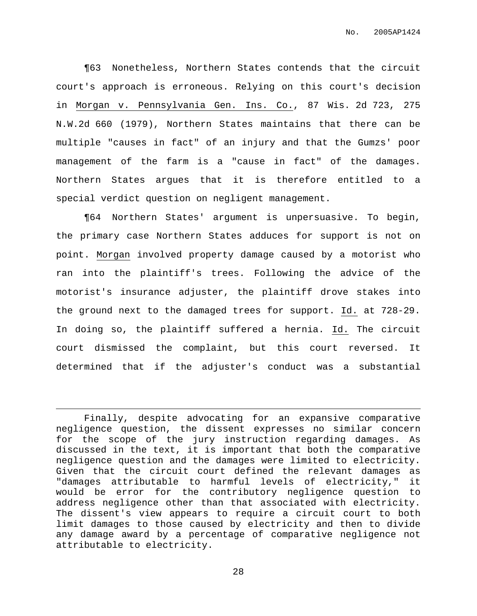¶63 Nonetheless, Northern States contends that the circuit court's approach is erroneous. Relying on this court's decision in Morgan v. Pennsylvania Gen. Ins. Co., 87 Wis. 2d 723, 275 N.W.2d 660 (1979), Northern States maintains that there can be multiple "causes in fact" of an injury and that the Gumzs' poor management of the farm is a "cause in fact" of the damages. Northern States argues that it is therefore entitled to a special verdict question on negligent management.

¶64 Northern States' argument is unpersuasive. To begin, the primary case Northern States adduces for support is not on point. Morgan involved property damage caused by a motorist who ran into the plaintiff's trees. Following the advice of the motorist's insurance adjuster, the plaintiff drove stakes into the ground next to the damaged trees for support. Id. at 728-29. In doing so, the plaintiff suffered a hernia. Id. The circuit court dismissed the complaint, but this court reversed. It determined that if the adjuster's conduct was a substantial

Finally, despite advocating for an expansive comparative negligence question, the dissent expresses no similar concern for the scope of the jury instruction regarding damages. As discussed in the text, it is important that both the comparative negligence question and the damages were limited to electricity. Given that the circuit court defined the relevant damages as "damages attributable to harmful levels of electricity," it would be error for the contributory negligence question to address negligence other than that associated with electricity. The dissent's view appears to require a circuit court to both limit damages to those caused by electricity and then to divide any damage award by a percentage of comparative negligence not attributable to electricity.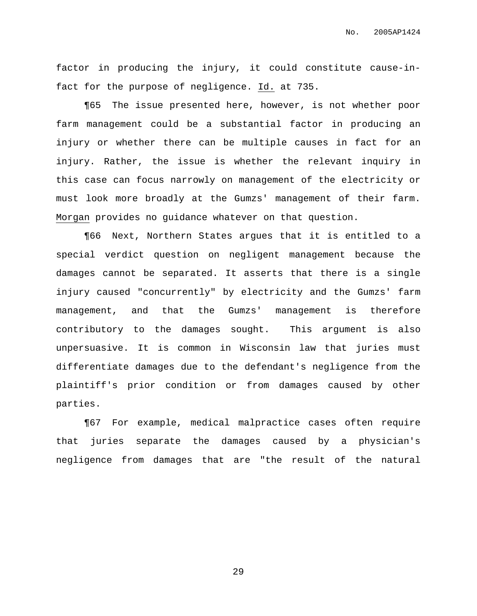factor in producing the injury, it could constitute cause-infact for the purpose of negligence. Id. at 735.

¶65 The issue presented here, however, is not whether poor farm management could be a substantial factor in producing an injury or whether there can be multiple causes in fact for an injury. Rather, the issue is whether the relevant inquiry in this case can focus narrowly on management of the electricity or must look more broadly at the Gumzs' management of their farm. Morgan provides no guidance whatever on that question.

¶66 Next, Northern States argues that it is entitled to a special verdict question on negligent management because the damages cannot be separated. It asserts that there is a single injury caused "concurrently" by electricity and the Gumzs' farm management, and that the Gumzs' management is therefore contributory to the damages sought. This argument is also unpersuasive. It is common in Wisconsin law that juries must differentiate damages due to the defendant's negligence from the plaintiff's prior condition or from damages caused by other parties.

¶67 For example, medical malpractice cases often require that juries separate the damages caused by a physician's negligence from damages that are "the result of the natural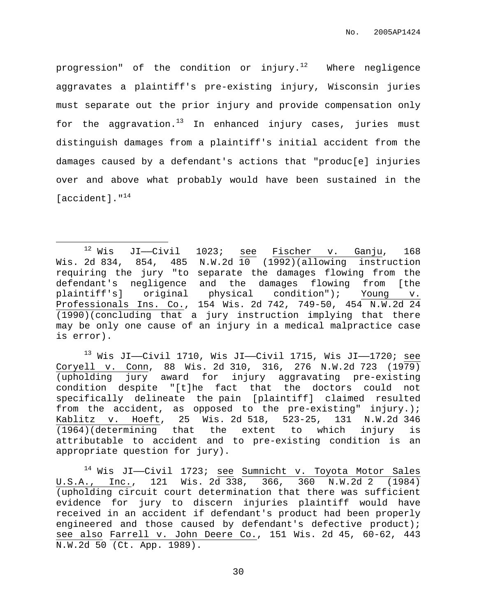progression" of the condition or injury. $^{12}$  Where negligence aggravates a plaintiff's pre-existing injury, Wisconsin juries must separate out the prior injury and provide compensation only for the aggravation.<sup>13</sup> In enhanced injury cases, juries must distinguish damages from a plaintiff's initial accident from the damages caused by a defendant's actions that "produc[e] injuries over and above what probably would have been sustained in the [accident]."<sup>14</sup>

 $12$  Wis JI—Civil 1023; see Fischer v. Ganju, 168 Wis. 2d 834, 854, 485 N.W.2d 10 (1992)(allowing instruction requiring the jury "to separate the damages flowing from the defendant's negligence and the damages flowing from [the plaintiff's] original physical condition"); Young v. Professionals Ins. Co., 154 Wis. 2d 742, 749-50, 454 N.W.2d 24 (1990)(concluding that a jury instruction implying that there may be only one cause of an injury in a medical malpractice case is error).

 $13$  Wis JI— $C$ ivil 1710, Wis JI— $C$ ivil 1715, Wis JI—1720; see Coryell v. Conn, 88 Wis. 2d 310, 316, 276 N.W.2d 723 (1979) (upholding jury award for injury aggravating pre-existing condition despite "[t]he fact that the doctors could not specifically delineate the pain [plaintiff] claimed resulted from the accident, as opposed to the pre-existing" injury.); Kablitz v. Hoeft, 25 Wis. 2d 518, 523-25, 131 N.W.2d 346  $(1964)$ (determining that the extent to which injury is attributable to accident and to pre-existing condition is an appropriate question for jury).

<sup>14</sup> Wis JI——Civil 1723; see Sumnicht v. Toyota Motor Sales U.S.A., Inc., 121 Wis. 2d 338, 366, 360 N.W.2d 2 (1984) (upholding circuit court determination that there was sufficient evidence for jury to discern injuries plaintiff would have received in an accident if defendant's product had been properly engineered and those caused by defendant's defective product); see also Farrell v. John Deere Co., 151 Wis. 2d 45, 60-62, 443 N.W.2d 50 (Ct. App. 1989).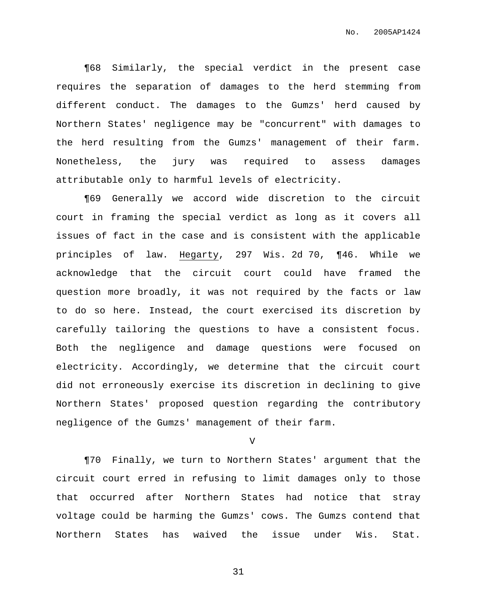¶68 Similarly, the special verdict in the present case requires the separation of damages to the herd stemming from different conduct. The damages to the Gumzs' herd caused by Northern States' negligence may be "concurrent" with damages to the herd resulting from the Gumzs' management of their farm. Nonetheless, the jury was required to assess damages attributable only to harmful levels of electricity.

¶69 Generally we accord wide discretion to the circuit court in framing the special verdict as long as it covers all issues of fact in the case and is consistent with the applicable principles of law. Hegarty, 297 Wis. 2d 70, ¶46. While we acknowledge that the circuit court could have framed the question more broadly, it was not required by the facts or law to do so here. Instead, the court exercised its discretion by carefully tailoring the questions to have a consistent focus. Both the negligence and damage questions were focused on electricity. Accordingly, we determine that the circuit court did not erroneously exercise its discretion in declining to give Northern States' proposed question regarding the contributory negligence of the Gumzs' management of their farm.

V

¶70 Finally, we turn to Northern States' argument that the circuit court erred in refusing to limit damages only to those that occurred after Northern States had notice that stray voltage could be harming the Gumzs' cows. The Gumzs contend that Northern States has waived the issue under Wis. Stat.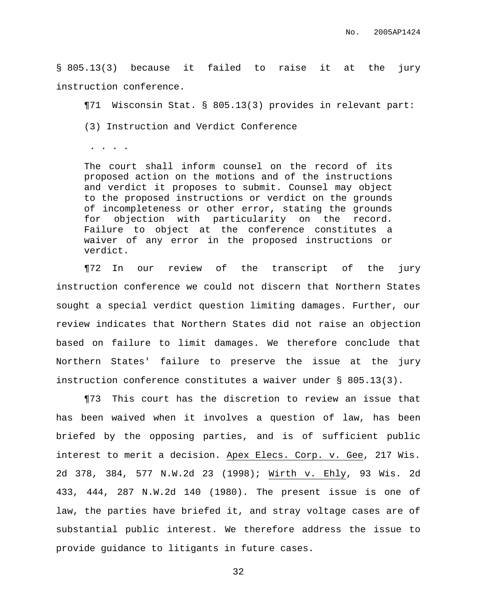§ 805.13(3) because it failed to raise it at the jury instruction conference.

¶71 Wisconsin Stat. § 805.13(3) provides in relevant part:

(3) Instruction and Verdict Conference

. . . .

The court shall inform counsel on the record of its proposed action on the motions and of the instructions and verdict it proposes to submit. Counsel may object to the proposed instructions or verdict on the grounds of incompleteness or other error, stating the grounds for objection with particularity on the record. Failure to object at the conference constitutes a waiver of any error in the proposed instructions or verdict.

¶72 In our review of the transcript of the jury instruction conference we could not discern that Northern States sought a special verdict question limiting damages. Further, our review indicates that Northern States did not raise an objection based on failure to limit damages. We therefore conclude that Northern States' failure to preserve the issue at the jury instruction conference constitutes a waiver under § 805.13(3).

¶73 This court has the discretion to review an issue that has been waived when it involves a question of law, has been briefed by the opposing parties, and is of sufficient public interest to merit a decision. Apex Elecs. Corp. v. Gee, 217 Wis. 2d 378, 384, 577 N.W.2d 23 (1998); Wirth v. Ehly, 93 Wis. 2d 433, 444, 287 N.W.2d 140 (1980). The present issue is one of law, the parties have briefed it, and stray voltage cases are of substantial public interest. We therefore address the issue to provide guidance to litigants in future cases.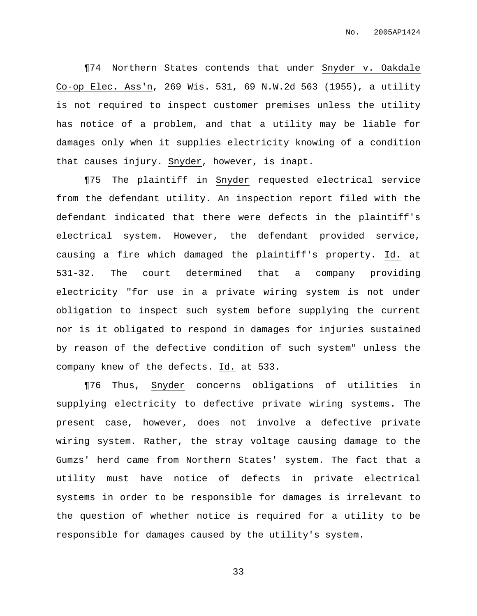¶74 Northern States contends that under Snyder v. Oakdale Co-op Elec. Ass'n, 269 Wis. 531, 69 N.W.2d 563 (1955), a utility is not required to inspect customer premises unless the utility has notice of a problem, and that a utility may be liable for damages only when it supplies electricity knowing of a condition that causes injury. Snyder, however, is inapt.

¶75 The plaintiff in Snyder requested electrical service from the defendant utility. An inspection report filed with the defendant indicated that there were defects in the plaintiff's electrical system. However, the defendant provided service, causing a fire which damaged the plaintiff's property. Id. at 531-32. The court determined that a company providing electricity "for use in a private wiring system is not under obligation to inspect such system before supplying the current nor is it obligated to respond in damages for injuries sustained by reason of the defective condition of such system" unless the company knew of the defects. Id. at 533.

¶76 Thus, Snyder concerns obligations of utilities in supplying electricity to defective private wiring systems. The present case, however, does not involve a defective private wiring system. Rather, the stray voltage causing damage to the Gumzs' herd came from Northern States' system. The fact that a utility must have notice of defects in private electrical systems in order to be responsible for damages is irrelevant to the question of whether notice is required for a utility to be responsible for damages caused by the utility's system.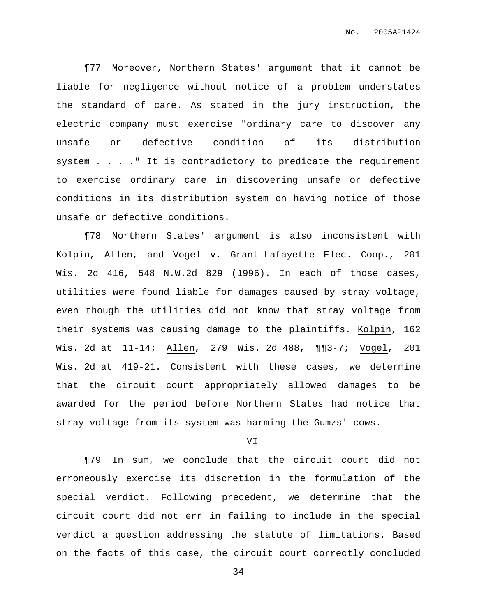¶77 Moreover, Northern States' argument that it cannot be liable for negligence without notice of a problem understates the standard of care. As stated in the jury instruction, the electric company must exercise "ordinary care to discover any unsafe or defective condition of its distribution system . . . ." It is contradictory to predicate the requirement to exercise ordinary care in discovering unsafe or defective conditions in its distribution system on having notice of those unsafe or defective conditions.

¶78 Northern States' argument is also inconsistent with Kolpin, Allen, and Vogel v. Grant-Lafayette Elec. Coop., 201 Wis. 2d 416, 548 N.W.2d 829 (1996). In each of those cases, utilities were found liable for damages caused by stray voltage, even though the utilities did not know that stray voltage from their systems was causing damage to the plaintiffs. Kolpin, 162 Wis. 2d at 11-14; Allen, 279 Wis. 2d 488, ¶¶3-7; Vogel, 201 Wis. 2d at 419-21. Consistent with these cases, we determine that the circuit court appropriately allowed damages to be awarded for the period before Northern States had notice that stray voltage from its system was harming the Gumzs' cows.

#### VI

¶79 In sum, we conclude that the circuit court did not erroneously exercise its discretion in the formulation of the special verdict. Following precedent, we determine that the circuit court did not err in failing to include in the special verdict a question addressing the statute of limitations. Based on the facts of this case, the circuit court correctly concluded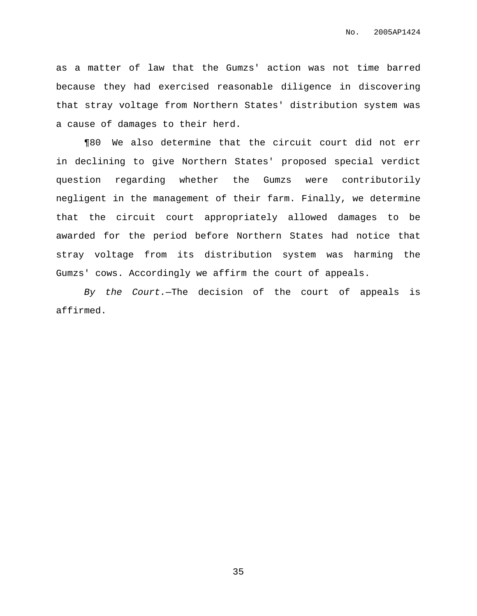as a matter of law that the Gumzs' action was not time barred because they had exercised reasonable diligence in discovering that stray voltage from Northern States' distribution system was a cause of damages to their herd.

¶80 We also determine that the circuit court did not err in declining to give Northern States' proposed special verdict question regarding whether the Gumzs were contributorily negligent in the management of their farm. Finally, we determine that the circuit court appropriately allowed damages to be awarded for the period before Northern States had notice that stray voltage from its distribution system was harming the Gumzs' cows. Accordingly we affirm the court of appeals.

By the Court.—The decision of the court of appeals is affirmed.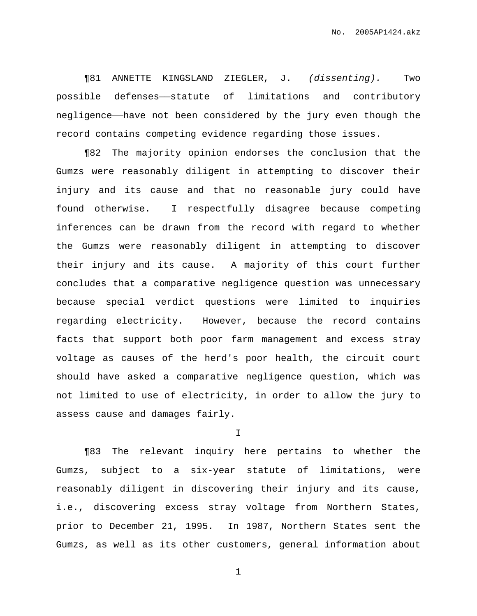¶81 ANNETTE KINGSLAND ZIEGLER, J. (dissenting). Two possible defenses——statute of limitations and contributory negligence——have not been considered by the jury even though the record contains competing evidence regarding those issues.

¶82 The majority opinion endorses the conclusion that the Gumzs were reasonably diligent in attempting to discover their injury and its cause and that no reasonable jury could have found otherwise. I respectfully disagree because competing inferences can be drawn from the record with regard to whether the Gumzs were reasonably diligent in attempting to discover their injury and its cause. A majority of this court further concludes that a comparative negligence question was unnecessary because special verdict questions were limited to inquiries regarding electricity. However, because the record contains facts that support both poor farm management and excess stray voltage as causes of the herd's poor health, the circuit court should have asked a comparative negligence question, which was not limited to use of electricity, in order to allow the jury to assess cause and damages fairly.

I

¶83 The relevant inquiry here pertains to whether the Gumzs, subject to a six-year statute of limitations, were reasonably diligent in discovering their injury and its cause, i.e., discovering excess stray voltage from Northern States, prior to December 21, 1995. In 1987, Northern States sent the Gumzs, as well as its other customers, general information about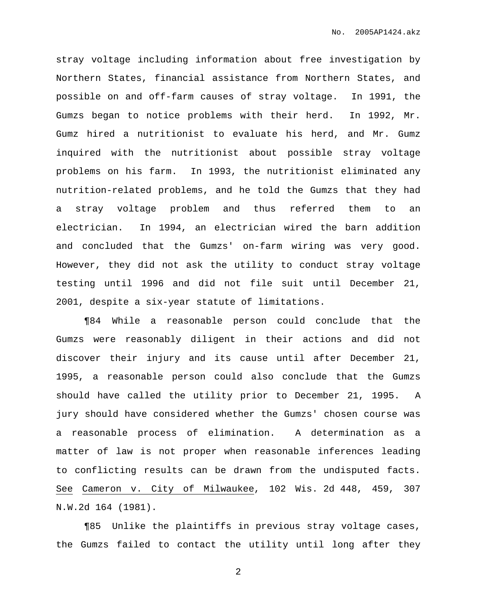stray voltage including information about free investigation by Northern States, financial assistance from Northern States, and possible on and off-farm causes of stray voltage. In 1991, the Gumzs began to notice problems with their herd. In 1992, Mr. Gumz hired a nutritionist to evaluate his herd, and Mr. Gumz inquired with the nutritionist about possible stray voltage problems on his farm. In 1993, the nutritionist eliminated any nutrition-related problems, and he told the Gumzs that they had a stray voltage problem and thus referred them to an electrician. In 1994, an electrician wired the barn addition and concluded that the Gumzs' on-farm wiring was very good. However, they did not ask the utility to conduct stray voltage testing until 1996 and did not file suit until December 21, 2001, despite a six-year statute of limitations.

¶84 While a reasonable person could conclude that the Gumzs were reasonably diligent in their actions and did not discover their injury and its cause until after December 21, 1995, a reasonable person could also conclude that the Gumzs should have called the utility prior to December 21, 1995. A jury should have considered whether the Gumzs' chosen course was a reasonable process of elimination. A determination as a matter of law is not proper when reasonable inferences leading to conflicting results can be drawn from the undisputed facts. See Cameron v. City of Milwaukee, 102 Wis. 2d 448, 459, 307 N.W.2d 164 (1981).

¶85 Unlike the plaintiffs in previous stray voltage cases, the Gumzs failed to contact the utility until long after they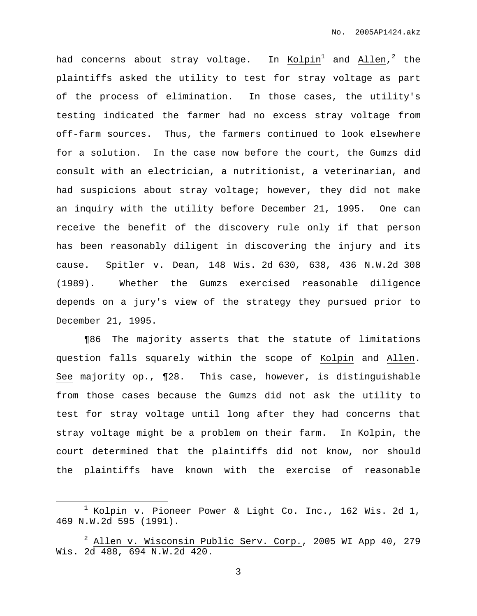had concerns about stray voltage. In Kolpin $^1$  and Allen, $^2$  the plaintiffs asked the utility to test for stray voltage as part of the process of elimination. In those cases, the utility's testing indicated the farmer had no excess stray voltage from off-farm sources. Thus, the farmers continued to look elsewhere for a solution. In the case now before the court, the Gumzs did consult with an electrician, a nutritionist, a veterinarian, and had suspicions about stray voltage; however, they did not make an inquiry with the utility before December 21, 1995. One can receive the benefit of the discovery rule only if that person has been reasonably diligent in discovering the injury and its cause. Spitler v. Dean, 148 Wis. 2d 630, 638, 436 N.W.2d 308 (1989). Whether the Gumzs exercised reasonable diligence depends on a jury's view of the strategy they pursued prior to December 21, 1995.

¶86 The majority asserts that the statute of limitations question falls squarely within the scope of Kolpin and Allen. See majority op., ¶28. This case, however, is distinguishable from those cases because the Gumzs did not ask the utility to test for stray voltage until long after they had concerns that stray voltage might be a problem on their farm. In Kolpin, the court determined that the plaintiffs did not know, nor should the plaintiffs have known with the exercise of reasonable

 $1$  Kolpin v. Pioneer Power & Light Co. Inc., 162 Wis. 2d 1, 469 N.W.2d 595 (1991).

<sup>2</sup> Allen v. Wisconsin Public Serv. Corp., 2005 WI App 40, 279 Wis. 2d 488, 694 N.W.2d 420.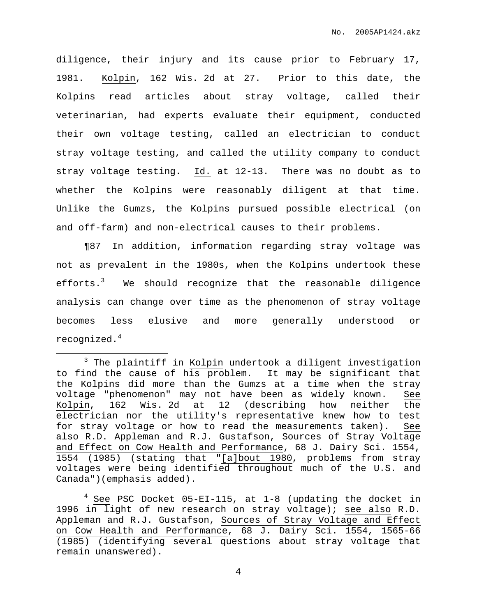diligence, their injury and its cause prior to February 17, 1981. Kolpin, 162 Wis. 2d at 27. Prior to this date, the Kolpins read articles about stray voltage, called their veterinarian, had experts evaluate their equipment, conducted their own voltage testing, called an electrician to conduct stray voltage testing, and called the utility company to conduct stray voltage testing. Id. at 12-13. There was no doubt as to whether the Kolpins were reasonably diligent at that time. Unlike the Gumzs, the Kolpins pursued possible electrical (on and off-farm) and non-electrical causes to their problems.

¶87 In addition, information regarding stray voltage was not as prevalent in the 1980s, when the Kolpins undertook these efforts.<sup>3</sup> We should recognize that the reasonable diligence analysis can change over time as the phenomenon of stray voltage becomes less elusive and more generally understood or recognized.<sup>4</sup>

 $4$  See PSC Docket 05-EI-115, at 1-8 (updating the docket in 1996 in light of new research on stray voltage); see also R.D. Appleman and R.J. Gustafson, Sources of Stray Voltage and Effect on Cow Health and Performance, 68 J. Dairy Sci. 1554, 1565-66 (1985) (identifying several questions about stray voltage that remain unanswered).

<sup>&</sup>lt;sup>3</sup> The plaintiff in Kolpin undertook a diligent investigation to find the cause of his problem. It may be significant that the Kolpins did more than the Gumzs at a time when the stray voltage "phenomenon" may not have been as widely known. See Kolpin, 162 Wis. 2d at 12 (describing how neither the electrician nor the utility's representative knew how to test for stray voltage or how to read the measurements taken). See also R.D. Appleman and R.J. Gustafson, Sources of Stray Voltage and Effect on Cow Health and Performance, 68 J. Dairy Sci. 1554, 1554 (1985) (stating that "[a]bout 1980, problems from stray voltages were being identified throughout much of the U.S. and Canada")(emphasis added).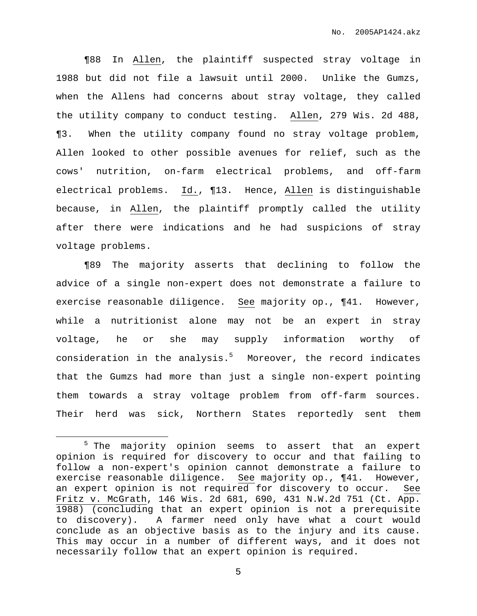¶88 In Allen, the plaintiff suspected stray voltage in 1988 but did not file a lawsuit until 2000. Unlike the Gumzs, when the Allens had concerns about stray voltage, they called the utility company to conduct testing. Allen, 279 Wis. 2d 488, ¶3. When the utility company found no stray voltage problem, Allen looked to other possible avenues for relief, such as the cows' nutrition, on-farm electrical problems, and off-farm electrical problems. Id., ¶13. Hence, Allen is distinguishable because, in Allen, the plaintiff promptly called the utility after there were indications and he had suspicions of stray voltage problems.

¶89 The majority asserts that declining to follow the advice of a single non-expert does not demonstrate a failure to exercise reasonable diligence. See majority op., ¶41. However, while a nutritionist alone may not be an expert in stray voltage, he or she may supply information worthy of consideration in the analysis. <sup>5</sup> Moreover, the record indicates that the Gumzs had more than just a single non-expert pointing them towards a stray voltage problem from off-farm sources. Their herd was sick, Northern States reportedly sent them

<sup>5</sup> The majority opinion seems to assert that an expert opinion is required for discovery to occur and that failing to follow a non-expert's opinion cannot demonstrate a failure to exercise reasonable diligence. See majority op., ¶41. However, an expert opinion is not required for discovery to occur. See Fritz v. McGrath, 146 Wis. 2d 681, 690, 431 N.W.2d 751 (Ct. App. 1988) (concluding that an expert opinion is not a prerequisite to discovery). A farmer need only have what a court would conclude as an objective basis as to the injury and its cause. This may occur in a number of different ways, and it does not necessarily follow that an expert opinion is required.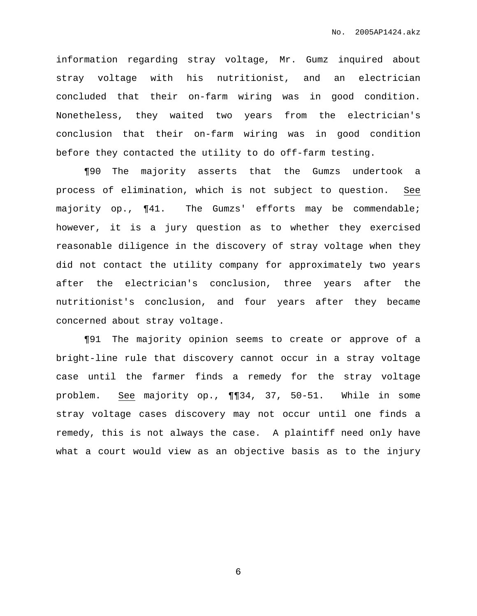information regarding stray voltage, Mr. Gumz inquired about stray voltage with his nutritionist, and an electrician concluded that their on-farm wiring was in good condition. Nonetheless, they waited two years from the electrician's conclusion that their on-farm wiring was in good condition before they contacted the utility to do off-farm testing.

¶90 The majority asserts that the Gumzs undertook a process of elimination, which is not subject to question. See majority op., ¶41. The Gumzs' efforts may be commendable; however, it is a jury question as to whether they exercised reasonable diligence in the discovery of stray voltage when they did not contact the utility company for approximately two years after the electrician's conclusion, three years after the nutritionist's conclusion, and four years after they became concerned about stray voltage.

¶91 The majority opinion seems to create or approve of a bright-line rule that discovery cannot occur in a stray voltage case until the farmer finds a remedy for the stray voltage problem. See majority op., ¶¶34, 37, 50-51. While in some stray voltage cases discovery may not occur until one finds a remedy, this is not always the case. A plaintiff need only have what a court would view as an objective basis as to the injury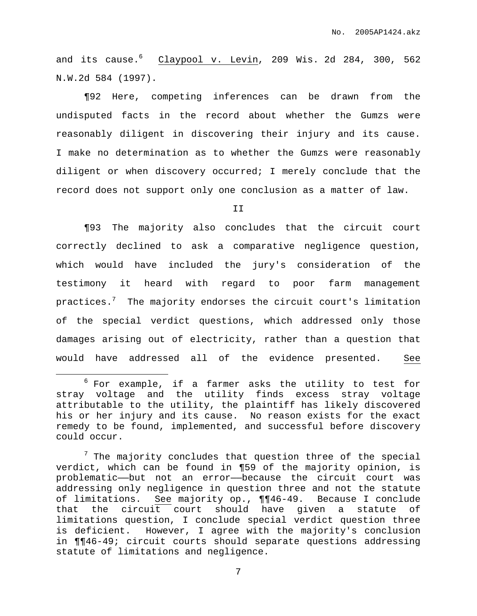and its cause. <sup>6</sup> Claypool v. Levin, 209 Wis. 2d 284, 300, 562 N.W.2d 584 (1997).

¶92 Here, competing inferences can be drawn from the undisputed facts in the record about whether the Gumzs were reasonably diligent in discovering their injury and its cause. I make no determination as to whether the Gumzs were reasonably diligent or when discovery occurred; I merely conclude that the record does not support only one conclusion as a matter of law.

II

¶93 The majority also concludes that the circuit court correctly declined to ask a comparative negligence question, which would have included the jury's consideration of the testimony it heard with regard to poor farm management practices. $^7$  . The majority endorses the circuit court's limitation of the special verdict questions, which addressed only those damages arising out of electricity, rather than a question that would have addressed all of the evidence presented. See

 $6$  For example, if a farmer asks the utility to test for stray voltage and the utility finds excess stray voltage attributable to the utility, the plaintiff has likely discovered his or her injury and its cause. No reason exists for the exact remedy to be found, implemented, and successful before discovery could occur.

 $7$  The majority concludes that question three of the special verdict, which can be found in ¶59 of the majority opinion, is problematic——but not an error——because the circuit court was addressing only negligence in question three and not the statute of limitations. See majority op., ¶¶46-49. Because I conclude that the circuit court should have given a statute of limitations question, I conclude special verdict question three is deficient. However, I agree with the majority's conclusion in ¶¶46-49; circuit courts should separate questions addressing statute of limitations and negligence.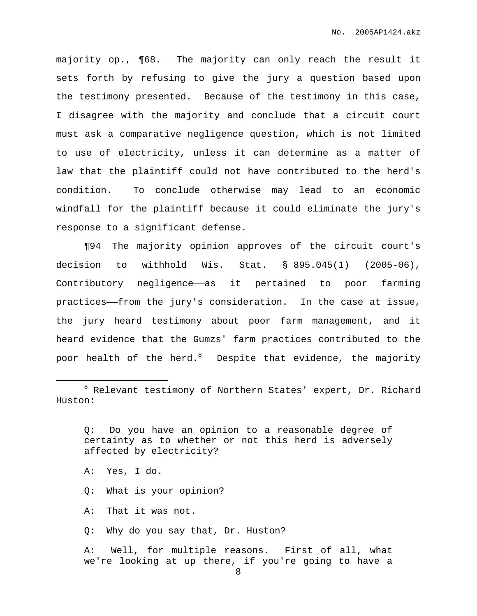majority op., ¶68. The majority can only reach the result it sets forth by refusing to give the jury a question based upon the testimony presented. Because of the testimony in this case, I disagree with the majority and conclude that a circuit court must ask a comparative negligence question, which is not limited to use of electricity, unless it can determine as a matter of law that the plaintiff could not have contributed to the herd's condition. To conclude otherwise may lead to an economic windfall for the plaintiff because it could eliminate the jury's response to a significant defense.

¶94 The majority opinion approves of the circuit court's decision to withhold Wis. Stat. § 895.045(1) (2005-06), Contributory negligence—as it pertained to poor farming practices——from the jury's consideration. In the case at issue, the jury heard testimony about poor farm management, and it heard evidence that the Gumzs' farm practices contributed to the poor health of the herd. $^8$  – Despite that evidence, the majority

Q: Do you have an opinion to a reasonable degree of certainty as to whether or not this herd is adversely affected by electricity?

- A: Yes, I do.
- Q: What is your opinion?
- A: That it was not.
- Q: Why do you say that, Dr. Huston?

A: Well, for multiple reasons. First of all, what we're looking at up there, if you're going to have a

<sup>8</sup> Relevant testimony of Northern States' expert, Dr. Richard Huston: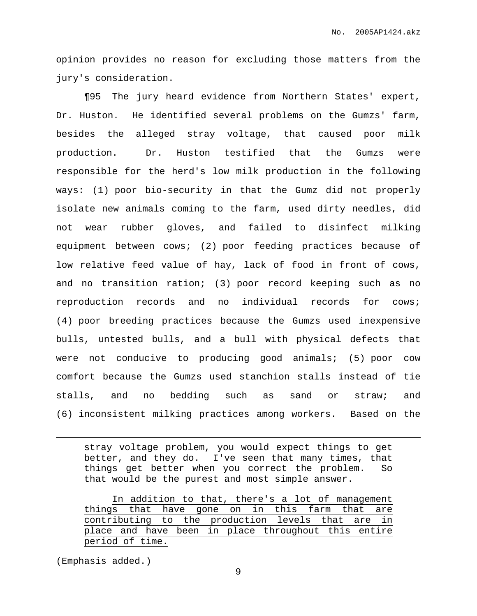opinion provides no reason for excluding those matters from the jury's consideration.

¶95 The jury heard evidence from Northern States' expert, Dr. Huston. He identified several problems on the Gumzs' farm, besides the alleged stray voltage, that caused poor milk production. Dr. Huston testified that the Gumzs were responsible for the herd's low milk production in the following ways: (1) poor bio-security in that the Gumz did not properly isolate new animals coming to the farm, used dirty needles, did not wear rubber gloves, and failed to disinfect milking equipment between cows; (2) poor feeding practices because of low relative feed value of hay, lack of food in front of cows, and no transition ration; (3) poor record keeping such as no reproduction records and no individual records for cows; (4) poor breeding practices because the Gumzs used inexpensive bulls, untested bulls, and a bull with physical defects that were not conducive to producing good animals; (5) poor cow comfort because the Gumzs used stanchion stalls instead of tie stalls, and no bedding such as sand or straw; and (6) inconsistent milking practices among workers. Based on the

stray voltage problem, you would expect things to get better, and they do. I've seen that many times, that things get better when you correct the problem. So that would be the purest and most simple answer.

In addition to that, there's a lot of management things that have gone on in this farm that are contributing to the production levels that are in place and have been in place throughout this entire period of time.

(Emphasis added.)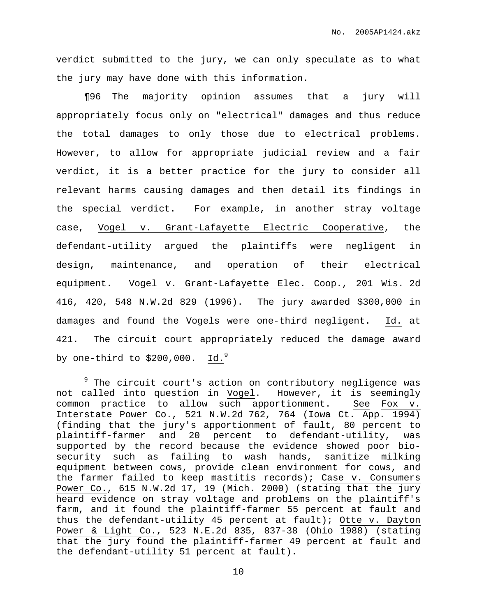verdict submitted to the jury, we can only speculate as to what the jury may have done with this information.

¶96 The majority opinion assumes that a jury will appropriately focus only on "electrical" damages and thus reduce the total damages to only those due to electrical problems. However, to allow for appropriate judicial review and a fair verdict, it is a better practice for the jury to consider all relevant harms causing damages and then detail its findings in the special verdict. For example, in another stray voltage case, Vogel v. Grant-Lafayette Electric Cooperative, the defendant-utility argued the plaintiffs were negligent in design, maintenance, and operation of their electrical equipment. Vogel v. Grant-Lafayette Elec. Coop., 201 Wis. 2d 416, 420, 548 N.W.2d 829 (1996). The jury awarded \$300,000 in damages and found the Vogels were one-third negligent. Id. at 421. The circuit court appropriately reduced the damage award by one-third to \$200,000.  $\,$  Id. $^9$ 

 $9$  The circuit court's action on contributory negligence was not called into question in Vogel. However, it is seemingly common practice to allow such apportionment. See Fox v. Interstate Power Co., 521 N.W.2d 762, 764 (Iowa Ct. App. 1994) (finding that the jury's apportionment of fault, 80 percent to plaintiff-farmer and 20 percent to defendant-utility, was supported by the record because the evidence showed poor biosecurity such as failing to wash hands, sanitize milking equipment between cows, provide clean environment for cows, and the farmer failed to keep mastitis records); Case v. Consumers Power Co., 615 N.W.2d 17, 19 (Mich. 2000) (stating that the jury heard evidence on stray voltage and problems on the plaintiff's farm, and it found the plaintiff-farmer 55 percent at fault and thus the defendant-utility 45 percent at fault); Otte v. Dayton Power & Light Co., 523 N.E.2d 835, 837-38 (Ohio 1988) (stating that the jury found the plaintiff-farmer 49 percent at fault and the defendant-utility 51 percent at fault).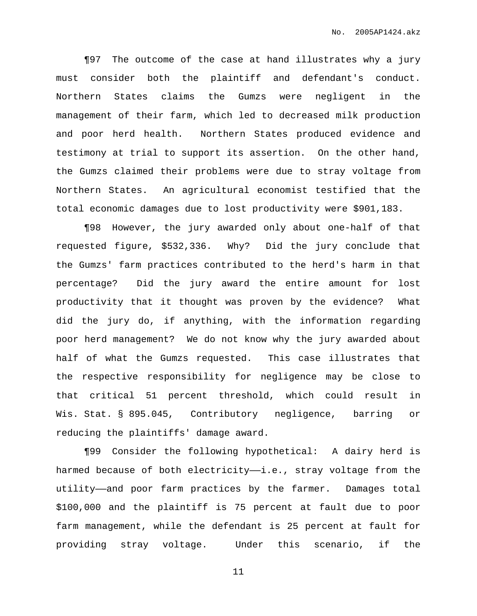¶97 The outcome of the case at hand illustrates why a jury must consider both the plaintiff and defendant's conduct. Northern States claims the Gumzs were negligent in the management of their farm, which led to decreased milk production and poor herd health. Northern States produced evidence and testimony at trial to support its assertion. On the other hand, the Gumzs claimed their problems were due to stray voltage from Northern States. An agricultural economist testified that the total economic damages due to lost productivity were \$901,183.

¶98 However, the jury awarded only about one-half of that requested figure, \$532,336. Why? Did the jury conclude that the Gumzs' farm practices contributed to the herd's harm in that percentage? Did the jury award the entire amount for lost productivity that it thought was proven by the evidence? What did the jury do, if anything, with the information regarding poor herd management? We do not know why the jury awarded about half of what the Gumzs requested. This case illustrates that the respective responsibility for negligence may be close to that critical 51 percent threshold, which could result in Wis. Stat. § 895.045, Contributory negligence, barring or reducing the plaintiffs' damage award.

¶99 Consider the following hypothetical: A dairy herd is harmed because of both electricity-i.e., stray voltage from the utility——and poor farm practices by the farmer. Damages total \$100,000 and the plaintiff is 75 percent at fault due to poor farm management, while the defendant is 25 percent at fault for providing stray voltage. Under this scenario, if the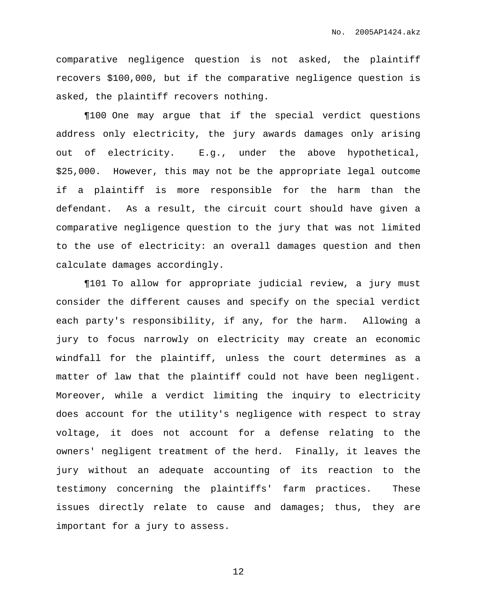comparative negligence question is not asked, the plaintiff recovers \$100,000, but if the comparative negligence question is asked, the plaintiff recovers nothing.

¶100 One may argue that if the special verdict questions address only electricity, the jury awards damages only arising out of electricity. E.g., under the above hypothetical, \$25,000. However, this may not be the appropriate legal outcome if a plaintiff is more responsible for the harm than the defendant. As a result, the circuit court should have given a comparative negligence question to the jury that was not limited to the use of electricity: an overall damages question and then calculate damages accordingly.

¶101 To allow for appropriate judicial review, a jury must consider the different causes and specify on the special verdict each party's responsibility, if any, for the harm. Allowing a jury to focus narrowly on electricity may create an economic windfall for the plaintiff, unless the court determines as a matter of law that the plaintiff could not have been negligent. Moreover, while a verdict limiting the inquiry to electricity does account for the utility's negligence with respect to stray voltage, it does not account for a defense relating to the owners' negligent treatment of the herd. Finally, it leaves the jury without an adequate accounting of its reaction to the testimony concerning the plaintiffs' farm practices. These issues directly relate to cause and damages; thus, they are important for a jury to assess.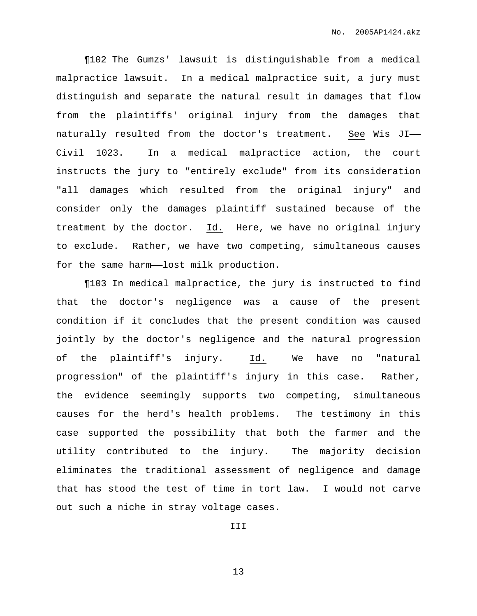¶102 The Gumzs' lawsuit is distinguishable from a medical malpractice lawsuit. In a medical malpractice suit, a jury must distinguish and separate the natural result in damages that flow from the plaintiffs' original injury from the damages that naturally resulted from the doctor's treatment. See Wis JI—— Civil 1023. In a medical malpractice action, the court instructs the jury to "entirely exclude" from its consideration "all damages which resulted from the original injury" and consider only the damages plaintiff sustained because of the treatment by the doctor. Id. Here, we have no original injury to exclude. Rather, we have two competing, simultaneous causes for the same harm-lost milk production.

¶103 In medical malpractice, the jury is instructed to find that the doctor's negligence was a cause of the present condition if it concludes that the present condition was caused jointly by the doctor's negligence and the natural progression of the plaintiff's injury. Id. We have no "natural progression" of the plaintiff's injury in this case. Rather, the evidence seemingly supports two competing, simultaneous causes for the herd's health problems. The testimony in this case supported the possibility that both the farmer and the utility contributed to the injury. The majority decision eliminates the traditional assessment of negligence and damage that has stood the test of time in tort law. I would not carve out such a niche in stray voltage cases.

III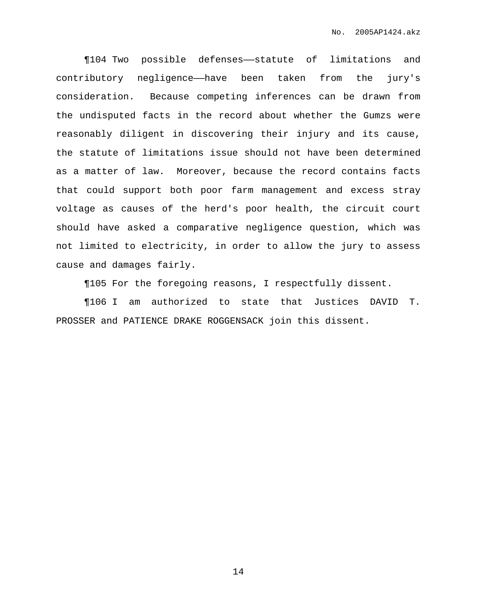¶104 Two possible defenses——statute of limitations and contributory negligence——have been taken from the jury's consideration. Because competing inferences can be drawn from the undisputed facts in the record about whether the Gumzs were reasonably diligent in discovering their injury and its cause, the statute of limitations issue should not have been determined as a matter of law. Moreover, because the record contains facts that could support both poor farm management and excess stray voltage as causes of the herd's poor health, the circuit court should have asked a comparative negligence question, which was not limited to electricity, in order to allow the jury to assess cause and damages fairly.

¶105 For the foregoing reasons, I respectfully dissent.

¶106 I am authorized to state that Justices DAVID T. PROSSER and PATIENCE DRAKE ROGGENSACK join this dissent.